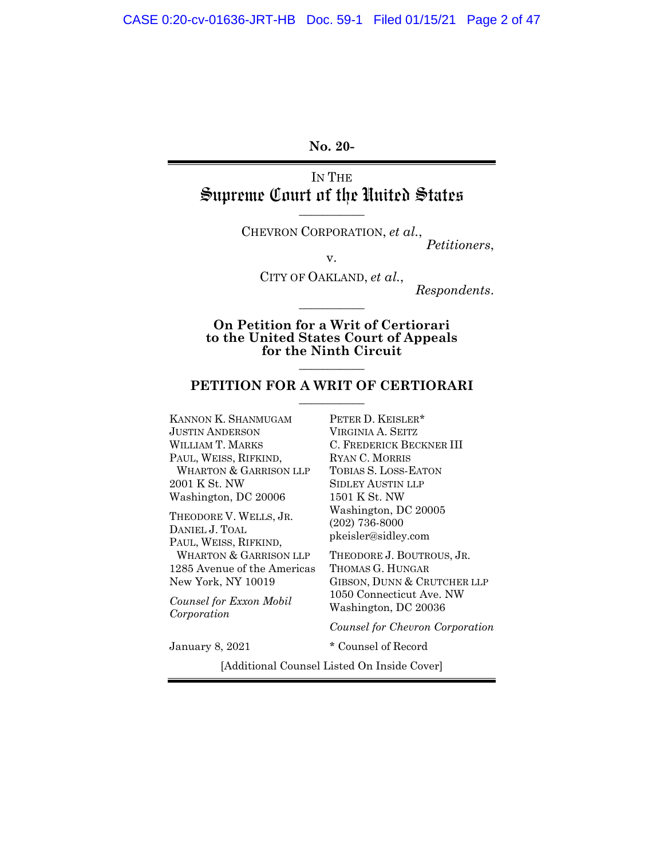**No. 20-** 

IN THE Supreme Court of the United States **\_\_\_\_\_\_\_\_\_\_\_** 

> CHEVRON CORPORATION, *et al.*, *Petitioners*,

> > v.

CITY OF OAKLAND, *et al.*,

**\_\_\_\_\_\_\_\_\_\_\_** 

*Respondents*.

**On Petition for a Writ of Certiorari to the United States Court of Appeals**  for the Ninth Circuit

### PETITION FOR A WRIT OF CERTIORARI

KANNON K. SHANMUGAM JUSTIN ANDERSON WILLIAM T. MARKS PAUL, WEISS, RIFKIND, WHARTON & GARRISON LLP 2001 K St. NW Washington, DC 20006

THEODORE V. WELLS, JR. DANIEL J. TOAL PAUL, WEISS, RIFKIND, WHARTON & GARRISON LLP 1285 Avenue of the Americas New York, NY 10019

*Counsel for Exxon Mobil Corporation* 

PETER D. KEISLER\* VIRGINIA A. SEITZ C. FREDERICK BECKNER III RYAN C. MORRIS TOBIAS S. LOSS-EATON SIDLEY AUSTIN LLP 1501 K St. NW Washington, DC 20005 (202) 736-8000 pkeisler@sidley.com

THEODORE J. BOUTROUS, JR. THOMAS G. HUNGAR GIBSON, DUNN & CRUTCHER LLP 1050 Connecticut Ave. NW Washington, DC 20036

*Counsel for Chevron Corporation*

January 8, 2021 \* Counsel of Record

[Additional Counsel Listed On Inside Cover]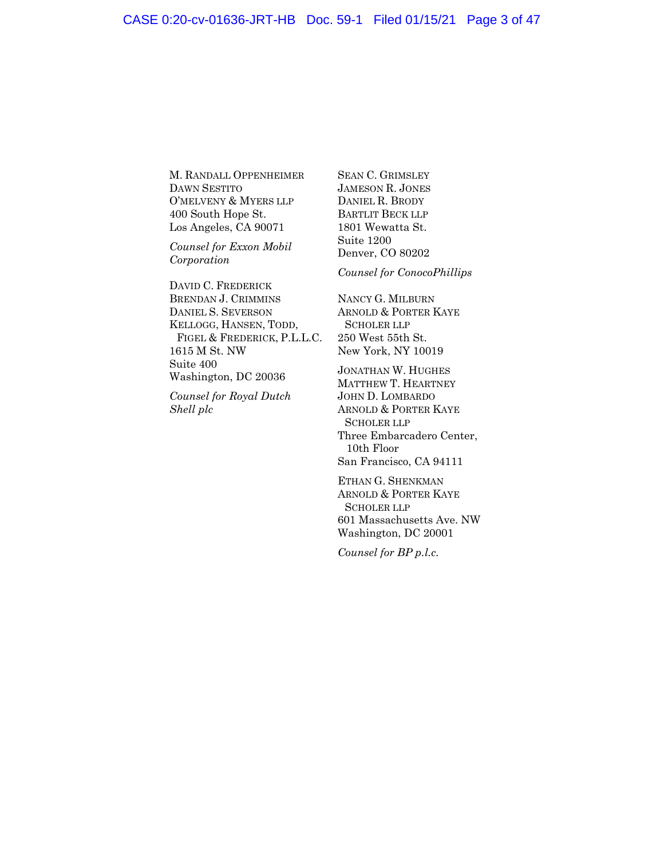M. RANDALL OPPENHEIMER DAWN SESTITO O'MELVENY & MYERS LLP 400 South Hope St. Los Angeles, CA 90071

*Counsel for Exxon Mobil Corporation* 

DAVID C. FREDERICK BRENDAN J. CRIMMINS DANIEL S. SEVERSON KELLOGG, HANSEN, TODD, FIGEL & FREDERICK, P.L.L.C. 1615 M St. NW Suite 400 Washington, DC 20036

*Counsel for Royal Dutch Shell plc*

SEAN C. GRIMSLEY JAMESON R. JONES DANIEL R. BRODY BARTLIT BECK LLP 1801 Wewatta St. Suite 1200 Denver, CO 80202

*Counsel for ConocoPhillips* 

NANCY G. MILBURN ARNOLD & PORTER KAYE SCHOLER LLP 250 West 55th St. New York, NY 10019

JONATHAN W. HUGHES MATTHEW T. HEARTNEY JOHN D. LOMBARDO ARNOLD & PORTER KAYE SCHOLER LLP Three Embarcadero Center, 10th Floor San Francisco, CA 94111

ETHAN G. SHENKMAN ARNOLD & PORTER KAYE SCHOLER LLP 601 Massachusetts Ave. NW Washington, DC 20001

*Counsel for BP p.l.c.*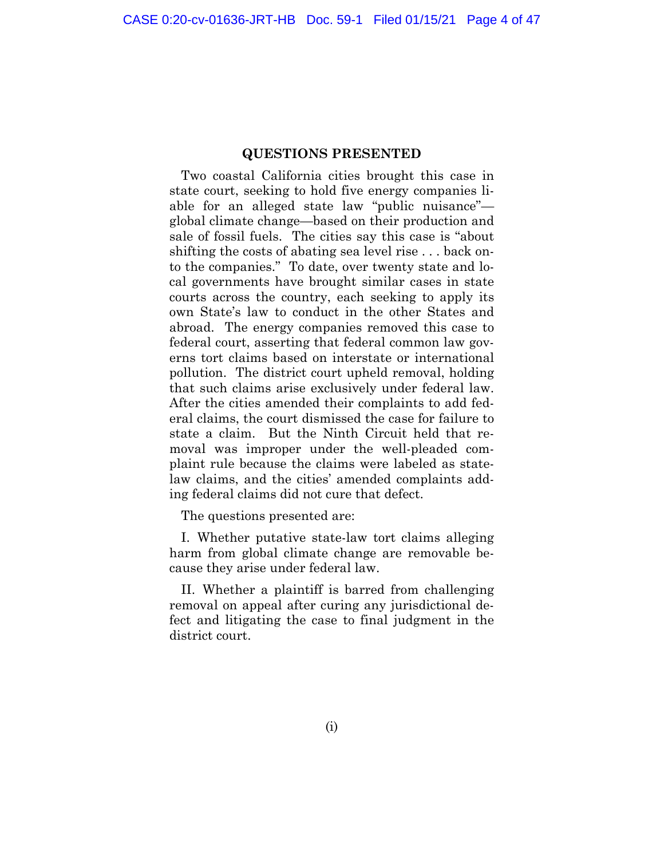#### **QUESTIONS PRESENTED**

<span id="page-2-0"></span>Two coastal California cities brought this case in state court, seeking to hold five energy companies liable for an alleged state law "public nuisance" global climate change—based on their production and sale of fossil fuels. The cities say this case is "about shifting the costs of abating sea level rise . . . back onto the companies." To date, over twenty state and local governments have brought similar cases in state courts across the country, each seeking to apply its own State's law to conduct in the other States and abroad. The energy companies removed this case to federal court, asserting that federal common law governs tort claims based on interstate or international pollution. The district court upheld removal, holding that such claims arise exclusively under federal law. After the cities amended their complaints to add federal claims, the court dismissed the case for failure to state a claim. But the Ninth Circuit held that removal was improper under the well-pleaded complaint rule because the claims were labeled as statelaw claims, and the cities' amended complaints adding federal claims did not cure that defect.

The questions presented are:

I. Whether putative state-law tort claims alleging harm from global climate change are removable because they arise under federal law.

II. Whether a plaintiff is barred from challenging removal on appeal after curing any jurisdictional defect and litigating the case to final judgment in the district court.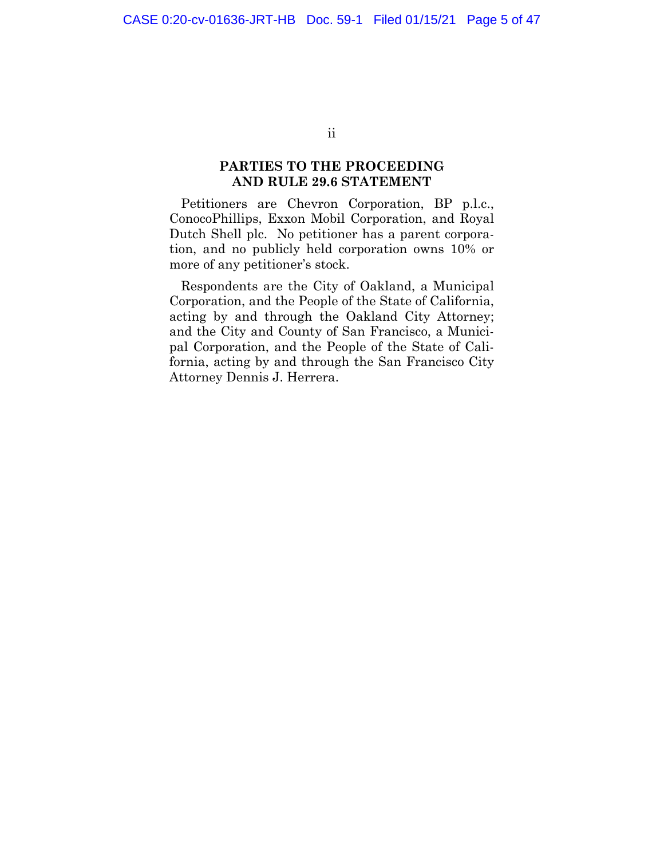ii

### **PARTIES TO THE PROCEEDING AND RULE 29.6 STATEMENT**

<span id="page-3-0"></span>Petitioners are Chevron Corporation, BP p.l.c., ConocoPhillips, Exxon Mobil Corporation, and Royal Dutch Shell plc. No petitioner has a parent corporation, and no publicly held corporation owns 10% or more of any petitioner's stock.

Respondents are the City of Oakland, a Municipal Corporation, and the People of the State of California, acting by and through the Oakland City Attorney; and the City and County of San Francisco, a Municipal Corporation, and the People of the State of California, acting by and through the San Francisco City Attorney Dennis J. Herrera.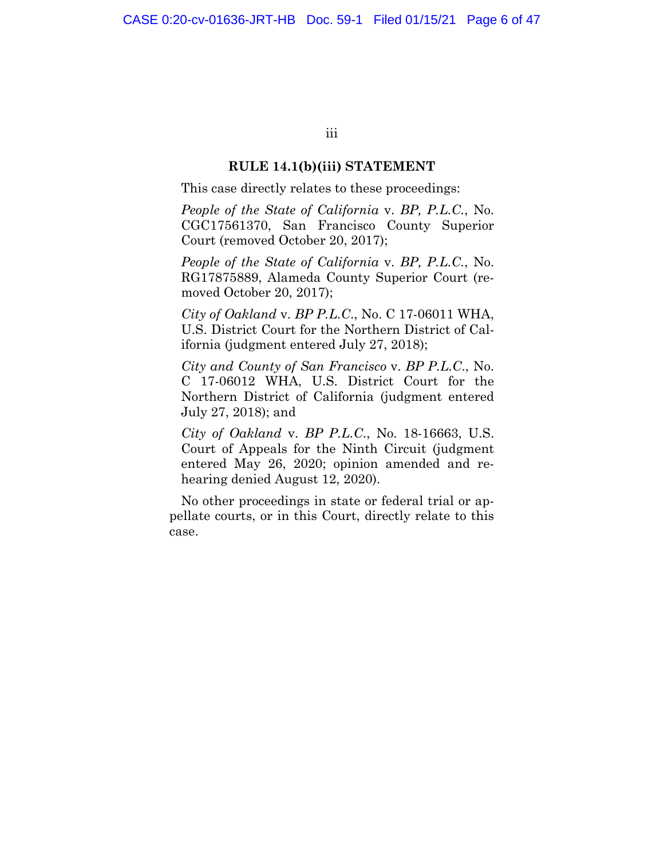iii

#### **RULE 14.1(b)(iii) STATEMENT**

<span id="page-4-0"></span>This case directly relates to these proceedings:

*People of the State of California* v. *BP, P.L.C.*, No. CGC17561370, San Francisco County Superior Court (removed October 20, 2017);

*People of the State of California* v. *BP, P.L.C.*, No. RG17875889, Alameda County Superior Court (removed October 20, 2017);

*City of Oakland* v. *BP P.L.C*., No. C 17-06011 WHA, U.S. District Court for the Northern District of California (judgment entered July 27, 2018);

*City and County of San Francisco* v. *BP P.L.C*., No. C 17-06012 WHA, U.S. District Court for the Northern District of California (judgment entered July 27, 2018); and

*City of Oakland* v. *BP P.L.C*., No. 18-16663, U.S. Court of Appeals for the Ninth Circuit (judgment entered May 26, 2020; opinion amended and rehearing denied August 12, 2020).

No other proceedings in state or federal trial or appellate courts, or in this Court, directly relate to this case.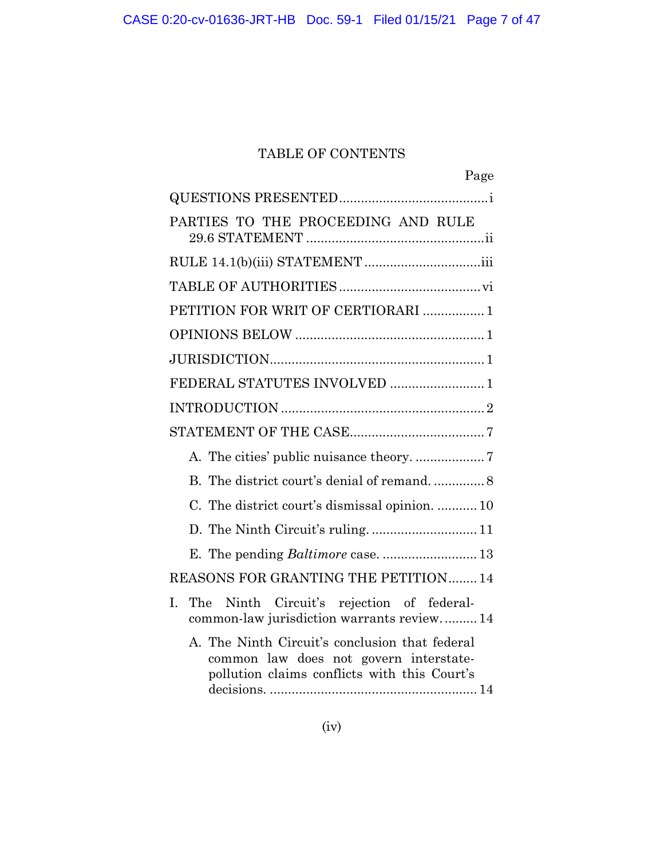# TABLE OF CONTENTS

| Page                                                                                                                                     |
|------------------------------------------------------------------------------------------------------------------------------------------|
|                                                                                                                                          |
| PARTIES TO THE PROCEEDING AND RULE                                                                                                       |
|                                                                                                                                          |
|                                                                                                                                          |
| PETITION FOR WRIT OF CERTIORARI  1                                                                                                       |
|                                                                                                                                          |
|                                                                                                                                          |
| FEDERAL STATUTES INVOLVED  1                                                                                                             |
|                                                                                                                                          |
|                                                                                                                                          |
|                                                                                                                                          |
|                                                                                                                                          |
| C. The district court's dismissal opinion.  10                                                                                           |
|                                                                                                                                          |
|                                                                                                                                          |
| REASONS FOR GRANTING THE PETITION14                                                                                                      |
| L<br>The<br>Ninth Circuit's rejection of federal-<br>common-law jurisdiction warrants review 14                                          |
| A. The Ninth Circuit's conclusion that federal<br>common law does not govern interstate-<br>pollution claims conflicts with this Court's |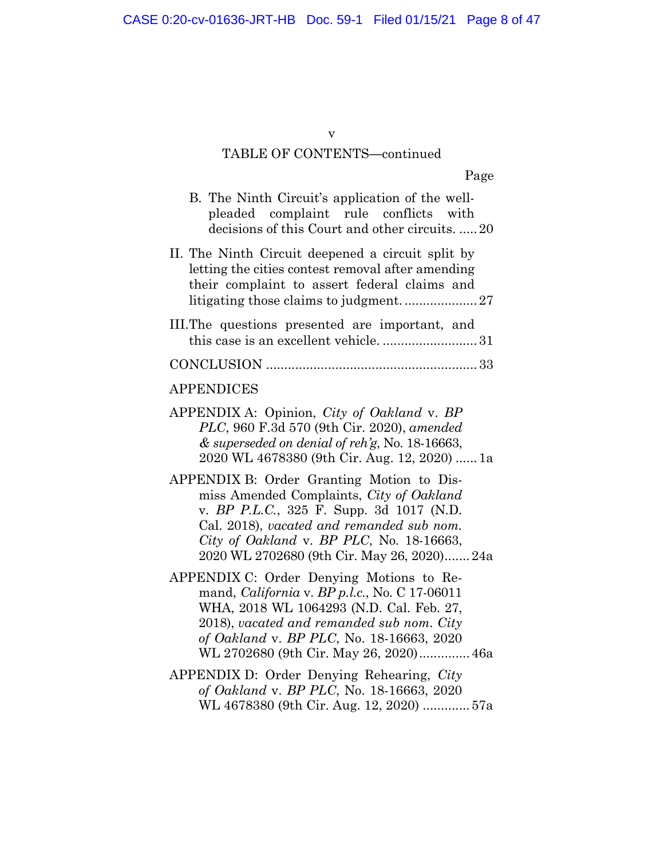## v

# TABLE OF CONTENTS**—**continued

Page

WL 4678380 (9th Cir. Aug. 12, 2020) ............. 57a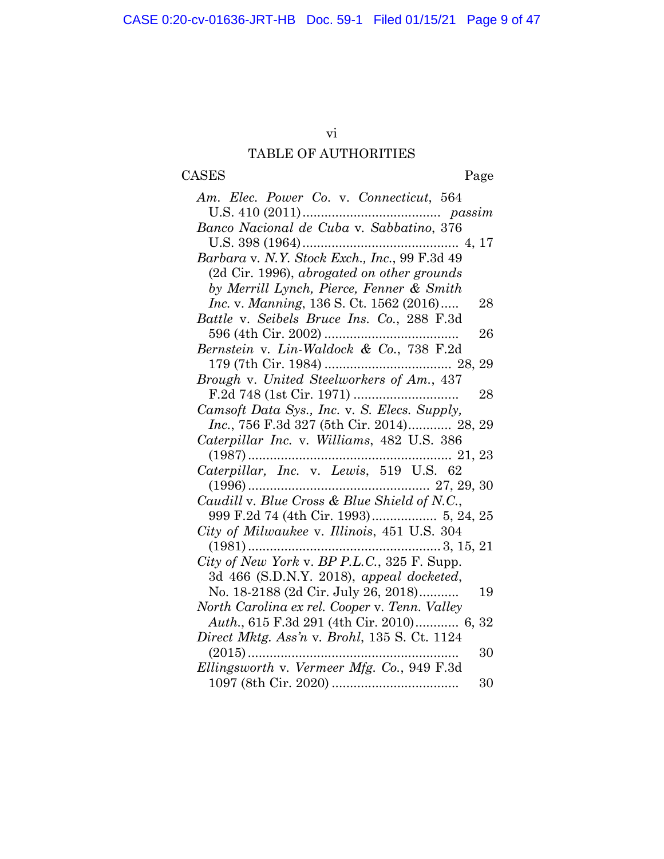# vi

# TABLE OF AUTHORITIES

# <span id="page-7-0"></span>CASES Page

| Am. Elec. Power Co. v. Connecticut, 564           |    |
|---------------------------------------------------|----|
|                                                   |    |
|                                                   |    |
| Barbara v. N.Y. Stock Exch., Inc., 99 F.3d 49     |    |
| (2d Cir. 1996), abrogated on other grounds        |    |
| by Merrill Lynch, Pierce, Fenner & Smith          |    |
| <i>Inc. v. Manning, 136 S. Ct. 1562 (2016)</i>    | 28 |
| Battle v. Seibels Bruce Ins. Co., 288 F.3d        |    |
|                                                   | 26 |
| Bernstein v. Lin-Waldock & Co., 738 F.2d          |    |
|                                                   |    |
| Brough v. United Steelworkers of Am., 437         |    |
|                                                   | 28 |
| Camsoft Data Sys., Inc. v. S. Elecs. Supply,      |    |
| <i>Inc.</i> , 756 F.3d 327 (5th Cir. 2014) 28, 29 |    |
| Caterpillar Inc. v. Williams, 482 U.S. 386        |    |
|                                                   |    |
|                                                   |    |
|                                                   |    |
| Caudill v. Blue Cross & Blue Shield of N.C.,      |    |
| 999 F.2d 74 (4th Cir. 1993) 5, 24, 25             |    |
| City of Milwaukee v. Illinois, 451 U.S. 304       |    |
|                                                   |    |
| City of New York v. BP P.L.C., 325 F. Supp.       |    |
| 3d 466 (S.D.N.Y. 2018), appeal docketed,          |    |
| No. 18-2188 (2d Cir. July 26, 2018)               | 19 |
| North Carolina ex rel. Cooper v. Tenn. Valley     |    |
| Auth., 615 F.3d 291 (4th Cir. 2010) 6, 32         |    |
| Direct Mktg. Ass'n v. Brohl, 135 S. Ct. 1124      |    |
|                                                   | 30 |
| Ellingsworth v. Vermeer Mfg. Co., 949 F.3d        |    |
|                                                   | 30 |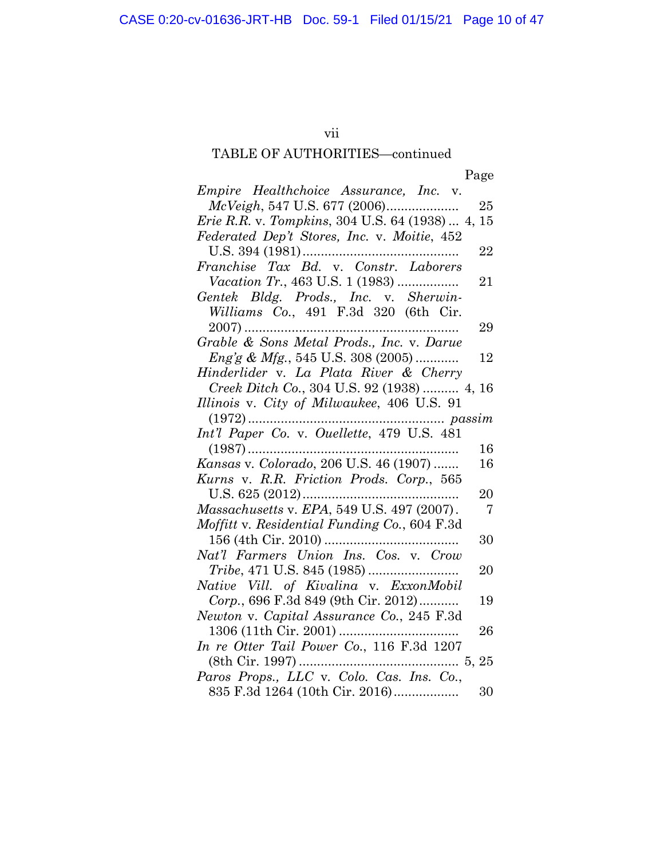# vii

# TABLE OF AUTHORITIES—continued

|--|

| Empire Healthchoice Assurance, Inc. v.                     |
|------------------------------------------------------------|
| 25                                                         |
| <i>Erie R.R. v. Tompkins, 304 U.S. 64 (1938)  4,</i><br>15 |
| Federated Dep't Stores, Inc. v. Moitie, 452                |
| 22                                                         |
| Franchise Tax Bd. v. Constr. Laborers                      |
| <i>Vacation Tr.</i> , 463 U.S. 1 (1983)<br>21              |
| Gentek Bldg. Prods., Inc. v. Sherwin-                      |
| Williams Co., 491 F.3d 320 (6th Cir.                       |
| 29<br>$2007)$                                              |
| Grable & Sons Metal Prods., Inc. v. Darue                  |
| <i>Eng'g &amp; Mfg.</i> , 545 U.S. 308 (2005)<br>12        |
| Hinderlider v. La Plata River & Cherry                     |
| Creek Ditch Co., 304 U.S. 92 (1938)  4, 16                 |
| Illinois v. City of Milwaukee, 406 U.S. 91                 |
|                                                            |
| Int'l Paper Co. v. Ouellette, 479 U.S. 481                 |
| $(1987)$<br>16                                             |
| Kansas v. Colorado, 206 U.S. 46 (1907)<br>16               |
| Kurns v. R.R. Friction Prods. Corp., 565                   |
| 20                                                         |
| Massachusetts v. EPA, 549 U.S. 497 (2007).<br>- 7          |
| Moffitt v. Residential Funding Co., 604 F.3d               |
| 30                                                         |
| Nat'l Farmers Union Ins. Cos. v. Crow                      |
| 20                                                         |
| Native Vill. of Kivalina v. ExxonMobil                     |
| Corp., 696 F.3d 849 (9th Cir. 2012)<br>19                  |
| Newton v. Capital Assurance Co., 245 F.3d                  |
| 26                                                         |
| In re Otter Tail Power Co., 116 F.3d 1207                  |
|                                                            |
| Paros Props., LLC v. Colo. Cas. Ins. Co.,                  |
| 835 F.3d 1264 (10th Cir. 2016)<br>30                       |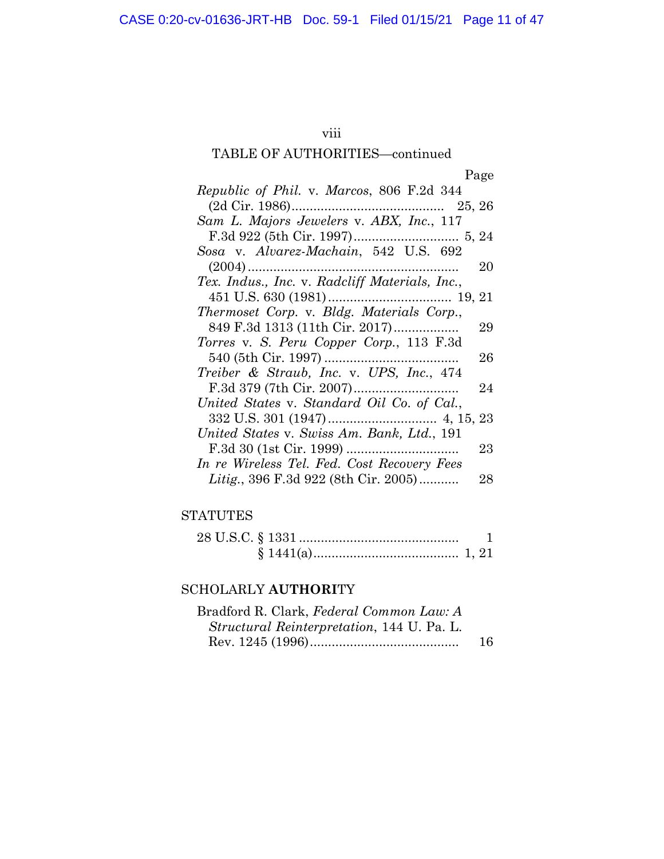# viii

# TABLE OF AUTHORITIES—continued

|                                                | Page |
|------------------------------------------------|------|
| Republic of Phil. v. Marcos, 806 F.2d 344      |      |
|                                                |      |
| Sam L. Majors Jewelers v. ABX, Inc., 117       |      |
|                                                |      |
| Sosa v. Alvarez-Machain, 542 U.S. 692          |      |
|                                                | 20   |
| Tex. Indus., Inc. v. Radcliff Materials, Inc., |      |
|                                                |      |
| Thermoset Corp. v. Bldg. Materials Corp.,      |      |
| 849 F.3d 1313 (11th Cir. 2017)                 | 29   |
| Torres v. S. Peru Copper Corp., 113 F.3d       |      |
|                                                | 26   |
| Treiber & Straub, Inc. v. UPS, Inc., 474       |      |
|                                                | 24   |
| United States v. Standard Oil Co. of Cal.,     |      |
|                                                |      |
| United States v. Swiss Am. Bank, Ltd., 191     |      |
|                                                | 23   |
| In re Wireless Tel. Fed. Cost Recovery Fees    |      |
| Litig., 396 F.3d 922 (8th Cir. 2005)           | 28   |

# **STATUTES**

# SCHOLARLY **AUTHORI**TY

| Bradford R. Clark, Federal Common Law: A           |    |
|----------------------------------------------------|----|
| <i>Structural Reinterpretation</i> , 144 U. Pa. L. |    |
|                                                    | 16 |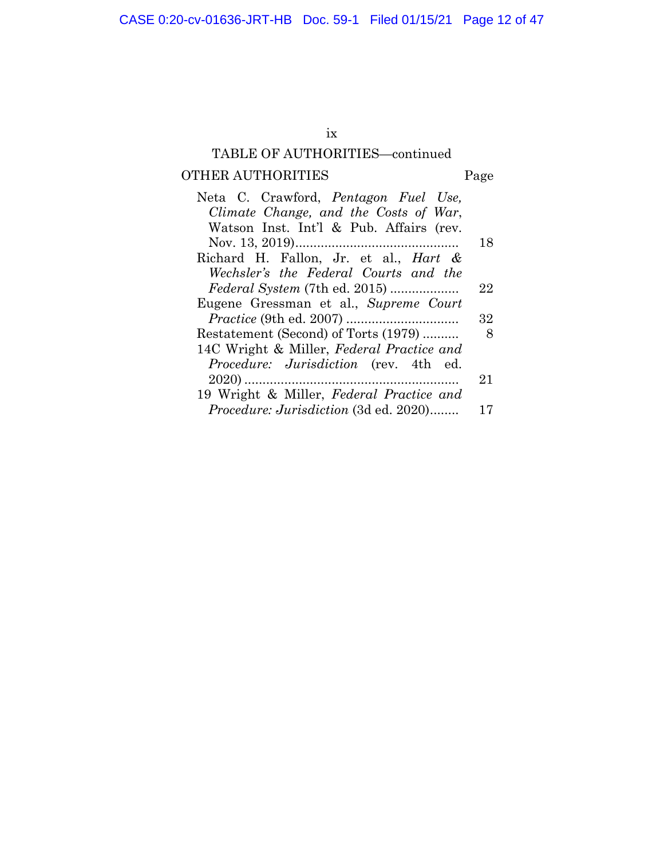# ix

# TABLE OF AUTHORITIES—continued

# OTHER AUTHORITIES Page

| Neta C. Crawford, <i>Pentagon Fuel Use</i> ,     |    |
|--------------------------------------------------|----|
| Climate Change, and the Costs of War,            |    |
| Watson Inst. Int'l & Pub. Affairs (rev.          |    |
|                                                  | 18 |
| Richard H. Fallon, Jr. et al., <i>Hart &amp;</i> |    |
| Wechsler's the Federal Courts and the            |    |
| <i>Federal System (7th ed. 2015) </i>            | 22 |
| Eugene Gressman et al., Supreme Court            |    |
|                                                  | 32 |
| Restatement (Second) of Torts (1979)             | 8  |
| 14C Wright & Miller, Federal Practice and        |    |
| Procedure: Jurisdiction (rev. 4th ed.            |    |
|                                                  | 21 |
| 19 Wright & Miller, Federal Practice and         |    |
| <i>Procedure: Jurisdiction</i> (3d ed. 2020)     | 17 |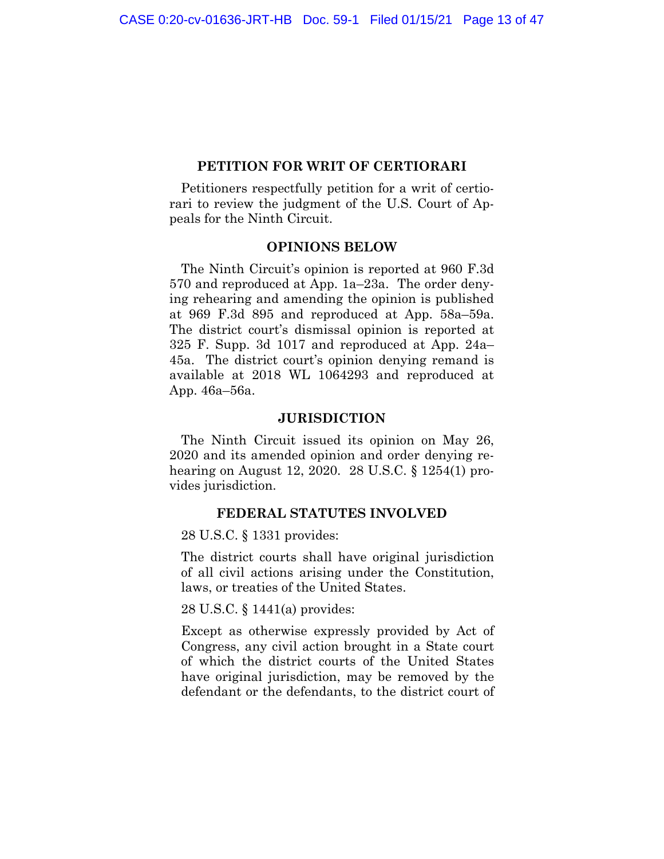### **PETITION FOR WRIT OF CERTIORARI**

<span id="page-11-0"></span>Petitioners respectfully petition for a writ of certiorari to review the judgment of the U.S. Court of Appeals for the Ninth Circuit.

### **OPINIONS BELOW**

The Ninth Circuit's opinion is reported at 960 F.3d 570 and reproduced at App. 1a–23a. The order denying rehearing and amending the opinion is published at 969 F.3d 895 and reproduced at App. 58a–59a. The district court's dismissal opinion is reported at 325 F. Supp. 3d 1017 and reproduced at App. 24a– 45a. The district court's opinion denying remand is available at 2018 WL 1064293 and reproduced at App. 46a–56a.

### **JURISDICTION**

The Ninth Circuit issued its opinion on May 26, 2020 and its amended opinion and order denying rehearing on August 12, 2020. 28 U.S.C. § 1254(1) provides jurisdiction.

### **FEDERAL STATUTES INVOLVED**

28 U.S.C. § 1331 provides:

The district courts shall have original jurisdiction of all civil actions arising under the Constitution, laws, or treaties of the United States.

28 U.S.C. § 1441(a) provides:

Except as otherwise expressly provided by Act of Congress, any civil action brought in a State court of which the district courts of the United States have original jurisdiction, may be removed by the defendant or the defendants, to the district court of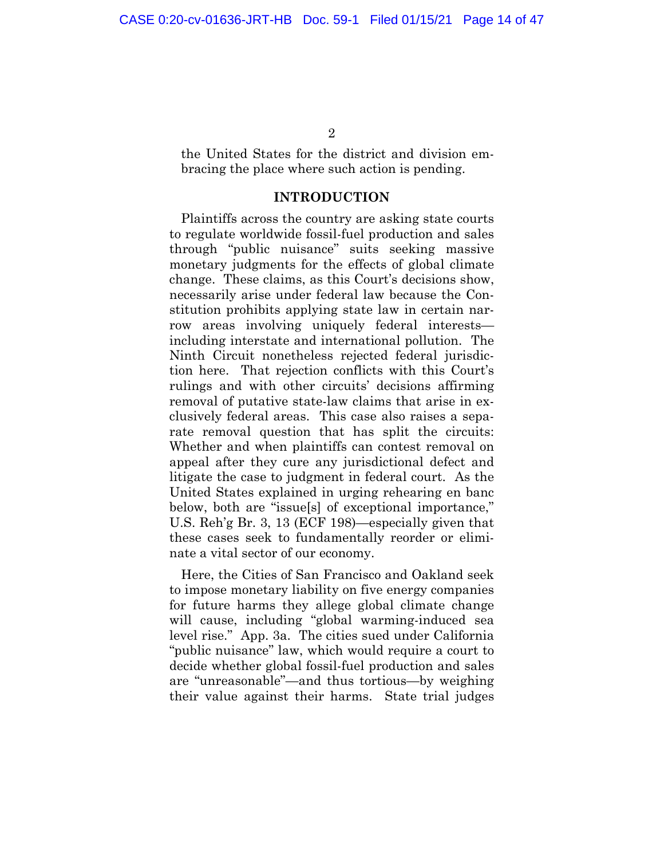<span id="page-12-0"></span>the United States for the district and division embracing the place where such action is pending.

## **INTRODUCTION**

Plaintiffs across the country are asking state courts to regulate worldwide fossil-fuel production and sales through "public nuisance" suits seeking massive monetary judgments for the effects of global climate change. These claims, as this Court's decisions show, necessarily arise under federal law because the Constitution prohibits applying state law in certain narrow areas involving uniquely federal interests including interstate and international pollution. The Ninth Circuit nonetheless rejected federal jurisdiction here. That rejection conflicts with this Court's rulings and with other circuits' decisions affirming removal of putative state-law claims that arise in exclusively federal areas. This case also raises a separate removal question that has split the circuits: Whether and when plaintiffs can contest removal on appeal after they cure any jurisdictional defect and litigate the case to judgment in federal court. As the United States explained in urging rehearing en banc below, both are "issue[s] of exceptional importance," U.S. Reh'g Br. 3, 13 (ECF 198)—especially given that these cases seek to fundamentally reorder or eliminate a vital sector of our economy.

Here, the Cities of San Francisco and Oakland seek to impose monetary liability on five energy companies for future harms they allege global climate change will cause, including "global warming-induced sea level rise." App. 3a. The cities sued under California "public nuisance" law, which would require a court to decide whether global fossil-fuel production and sales are "unreasonable"—and thus tortious—by weighing their value against their harms. State trial judges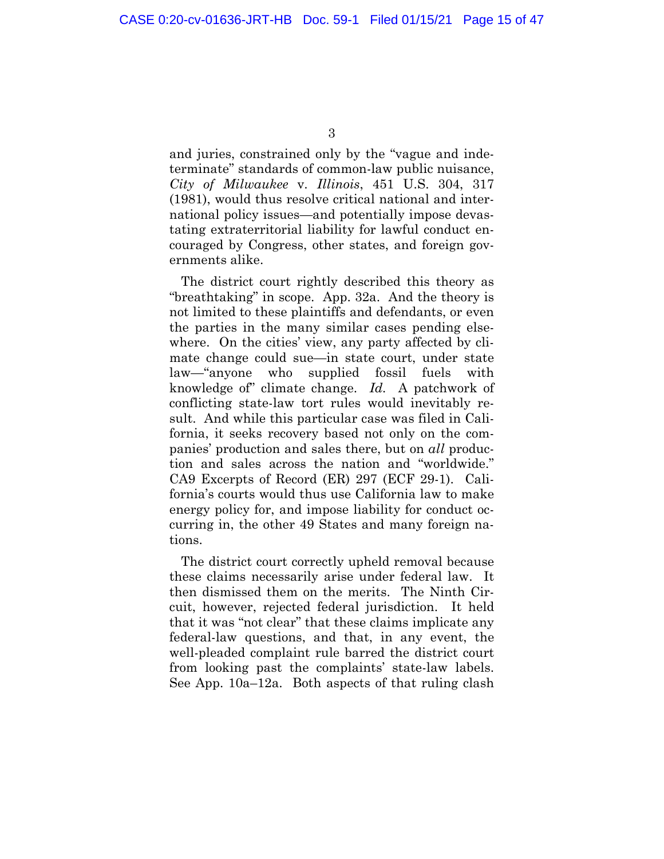and juries, constrained only by the "vague and indeterminate" standards of common-law public nuisance, *City of Milwaukee* v. *Illinois*, 451 U.S. 304, 317 (1981), would thus resolve critical national and international policy issues—and potentially impose devastating extraterritorial liability for lawful conduct encouraged by Congress, other states, and foreign governments alike.

The district court rightly described this theory as "breathtaking" in scope. App. 32a. And the theory is not limited to these plaintiffs and defendants, or even the parties in the many similar cases pending elsewhere. On the cities' view, any party affected by climate change could sue—in state court, under state law—"anyone who supplied fossil fuels with knowledge of" climate change. *Id.* A patchwork of conflicting state-law tort rules would inevitably result. And while this particular case was filed in California, it seeks recovery based not only on the companies' production and sales there, but on *all* production and sales across the nation and "worldwide." CA9 Excerpts of Record (ER) 297 (ECF 29-1). California's courts would thus use California law to make energy policy for, and impose liability for conduct occurring in, the other 49 States and many foreign nations.

The district court correctly upheld removal because these claims necessarily arise under federal law. It then dismissed them on the merits. The Ninth Circuit, however, rejected federal jurisdiction. It held that it was "not clear" that these claims implicate any federal-law questions, and that, in any event, the well-pleaded complaint rule barred the district court from looking past the complaints' state-law labels. See App. 10a–12a. Both aspects of that ruling clash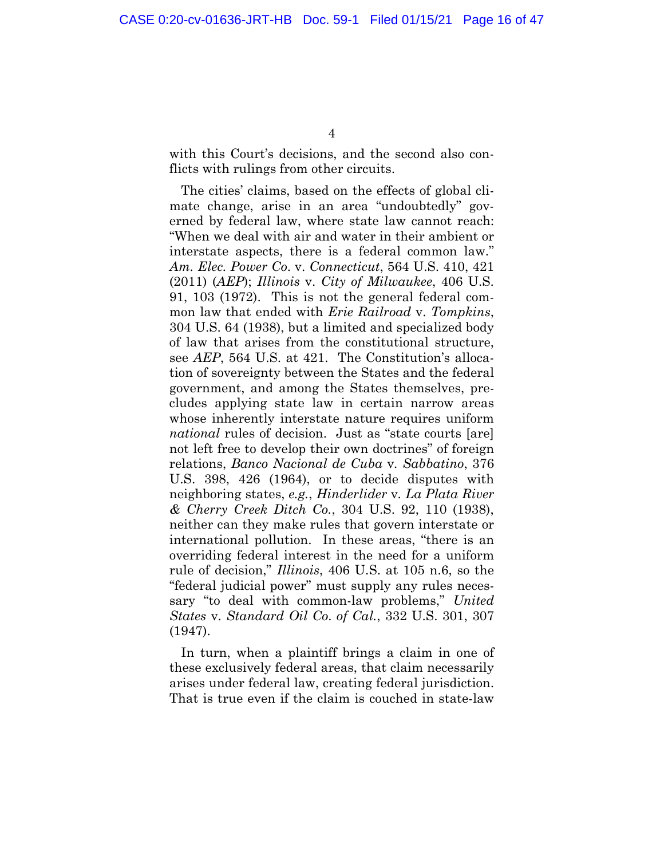with this Court's decisions, and the second also conflicts with rulings from other circuits.

The cities' claims, based on the effects of global climate change, arise in an area "undoubtedly" governed by federal law, where state law cannot reach: "When we deal with air and water in their ambient or interstate aspects, there is a federal common law." *Am. Elec. Power Co*. v. *Connecticut*, 564 U.S. 410, 421 (2011) (*AEP*); *Illinois* v. *City of Milwaukee*, 406 U.S. 91, 103 (1972). This is not the general federal common law that ended with *Erie Railroad* v. *Tompkins*, 304 U.S. 64 (1938), but a limited and specialized body of law that arises from the constitutional structure, see *AEP*, 564 U.S. at 421. The Constitution's allocation of sovereignty between the States and the federal government, and among the States themselves, precludes applying state law in certain narrow areas whose inherently interstate nature requires uniform *national* rules of decision. Just as "state courts [are] not left free to develop their own doctrines" of foreign relations, *Banco Nacional de Cuba* v*. Sabbatino*, 376 U.S. 398, 426 (1964), or to decide disputes with neighboring states, *e.g.*, *Hinderlider* v*. La Plata River & Cherry Creek Ditch Co.*, 304 U.S. 92, 110 (1938), neither can they make rules that govern interstate or international pollution. In these areas, "there is an overriding federal interest in the need for a uniform rule of decision," *Illinois*, 406 U.S. at 105 n.6, so the "federal judicial power" must supply any rules necessary "to deal with common-law problems," *United States* v. *Standard Oil Co*. *of Cal.*, 332 U.S. 301, 307 (1947).

In turn, when a plaintiff brings a claim in one of these exclusively federal areas, that claim necessarily arises under federal law, creating federal jurisdiction. That is true even if the claim is couched in state-law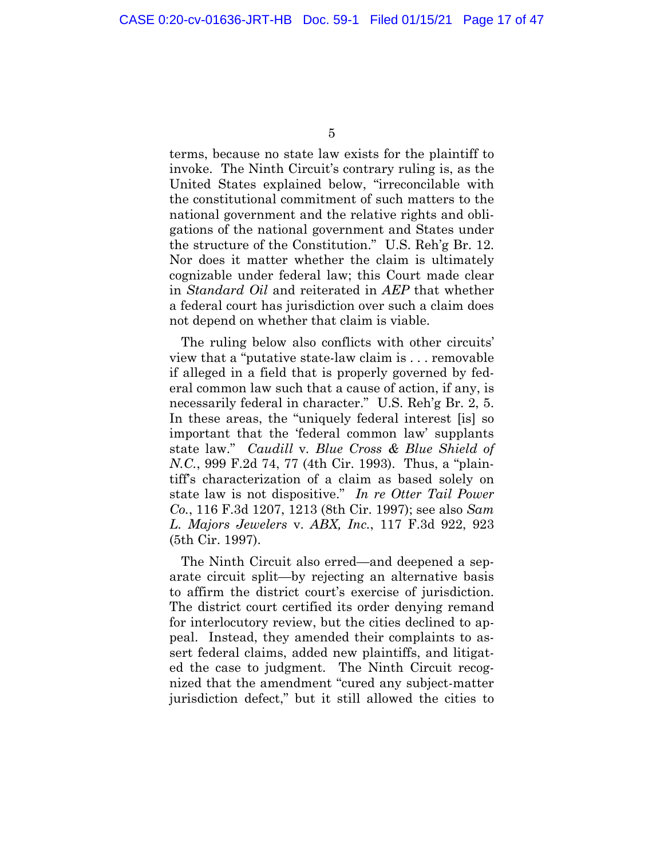terms, because no state law exists for the plaintiff to invoke. The Ninth Circuit's contrary ruling is, as the United States explained below, "irreconcilable with the constitutional commitment of such matters to the national government and the relative rights and obligations of the national government and States under the structure of the Constitution." U.S. Reh'g Br. 12. Nor does it matter whether the claim is ultimately cognizable under federal law; this Court made clear in *Standard Oil* and reiterated in *AEP* that whether a federal court has jurisdiction over such a claim does not depend on whether that claim is viable.

The ruling below also conflicts with other circuits' view that a "putative state-law claim is . . . removable if alleged in a field that is properly governed by federal common law such that a cause of action, if any, is necessarily federal in character." U.S. Reh'g Br. 2, 5. In these areas, the "uniquely federal interest [is] so important that the 'federal common law' supplants state law." *Caudill* v*. Blue Cross & Blue Shield of N.C.*, 999 F.2d 74, 77 (4th Cir. 1993). Thus, a "plaintiff's characterization of a claim as based solely on state law is not dispositive." *In re Otter Tail Power Co.*, 116 F.3d 1207, 1213 (8th Cir. 1997); see also *Sam L. Majors Jewelers* v. *ABX, Inc.*, 117 F.3d 922, 923 (5th Cir. 1997).

The Ninth Circuit also erred—and deepened a separate circuit split—by rejecting an alternative basis to affirm the district court's exercise of jurisdiction. The district court certified its order denying remand for interlocutory review, but the cities declined to appeal. Instead, they amended their complaints to assert federal claims, added new plaintiffs, and litigated the case to judgment. The Ninth Circuit recognized that the amendment "cured any subject-matter jurisdiction defect," but it still allowed the cities to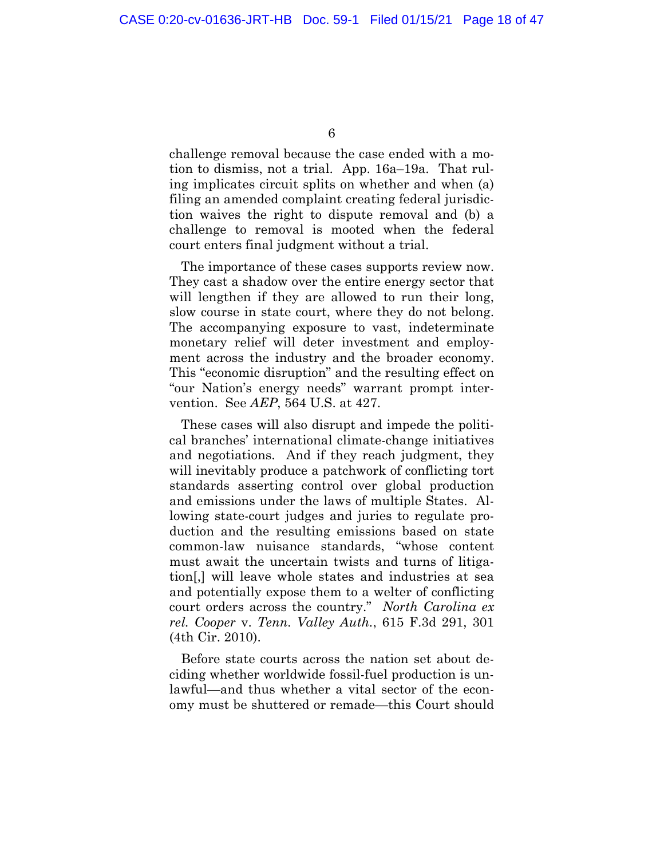challenge removal because the case ended with a motion to dismiss, not a trial. App. 16a–19a. That ruling implicates circuit splits on whether and when (a) filing an amended complaint creating federal jurisdiction waives the right to dispute removal and (b) a challenge to removal is mooted when the federal court enters final judgment without a trial.

The importance of these cases supports review now. They cast a shadow over the entire energy sector that will lengthen if they are allowed to run their long, slow course in state court, where they do not belong. The accompanying exposure to vast, indeterminate monetary relief will deter investment and employment across the industry and the broader economy. This "economic disruption" and the resulting effect on "our Nation's energy needs" warrant prompt intervention. See *AEP*, 564 U.S. at 427.

These cases will also disrupt and impede the political branches' international climate-change initiatives and negotiations. And if they reach judgment, they will inevitably produce a patchwork of conflicting tort standards asserting control over global production and emissions under the laws of multiple States. Allowing state-court judges and juries to regulate production and the resulting emissions based on state common-law nuisance standards, "whose content must await the uncertain twists and turns of litigation[,] will leave whole states and industries at sea and potentially expose them to a welter of conflicting court orders across the country." *North Carolina ex rel. Cooper* v. *Tenn. Valley Auth.*, 615 F.3d 291, 301 (4th Cir. 2010).

Before state courts across the nation set about deciding whether worldwide fossil-fuel production is unlawful—and thus whether a vital sector of the economy must be shuttered or remade—this Court should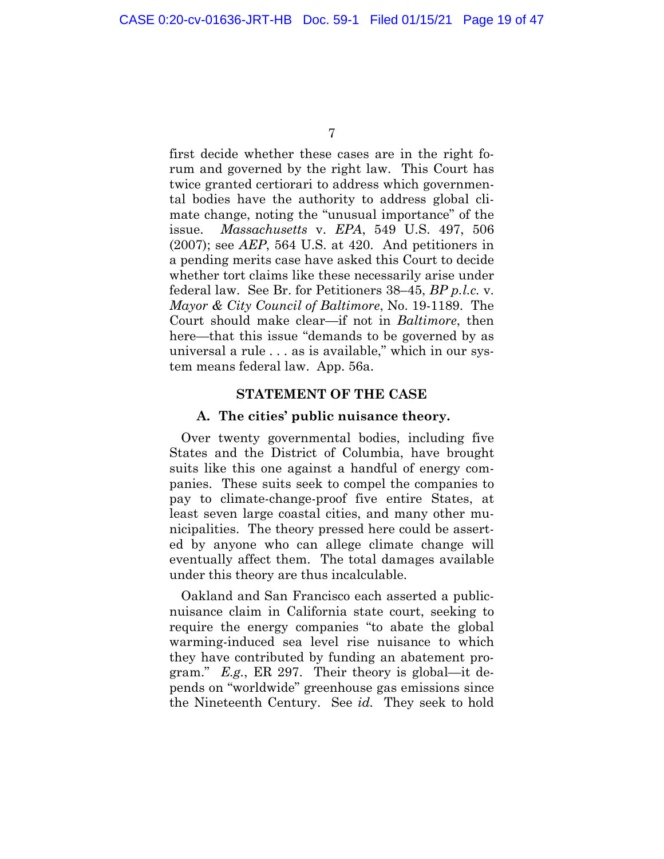<span id="page-17-0"></span>first decide whether these cases are in the right forum and governed by the right law. This Court has twice granted certiorari to address which governmental bodies have the authority to address global climate change, noting the "unusual importance" of the issue. *Massachusetts* v. *EPA*, 549 U.S. 497, 506 (2007); see *AEP*, 564 U.S. at 420. And petitioners in a pending merits case have asked this Court to decide whether tort claims like these necessarily arise under federal law. See Br. for Petitioners 38–45, *BP p.l.c.* v. *Mayor & City Council of Baltimore*, No. 19-1189. The Court should make clear—if not in *Baltimore*, then here—that this issue "demands to be governed by as universal a rule . . . as is available," which in our system means federal law. App. 56a.

#### **STATEMENT OF THE CASE**

#### **A. The cities' public nuisance theory.**

Over twenty governmental bodies, including five States and the District of Columbia, have brought suits like this one against a handful of energy companies. These suits seek to compel the companies to pay to climate-change-proof five entire States, at least seven large coastal cities, and many other municipalities. The theory pressed here could be asserted by anyone who can allege climate change will eventually affect them. The total damages available under this theory are thus incalculable.

Oakland and San Francisco each asserted a publicnuisance claim in California state court, seeking to require the energy companies "to abate the global warming-induced sea level rise nuisance to which they have contributed by funding an abatement program." *E.g.*, ER 297. Their theory is global—it depends on "worldwide" greenhouse gas emissions since the Nineteenth Century. See *id.* They seek to hold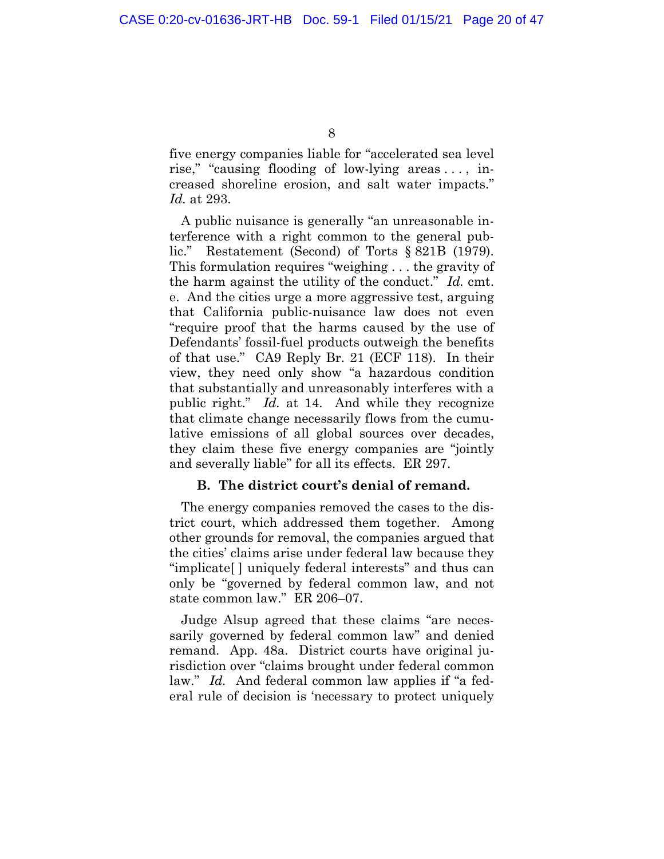<span id="page-18-0"></span>five energy companies liable for "accelerated sea level rise," "causing flooding of low-lying areas . . . , increased shoreline erosion, and salt water impacts." *Id.* at 293.

A public nuisance is generally "an unreasonable interference with a right common to the general public." Restatement (Second) of Torts § 821B (1979). This formulation requires "weighing . . . the gravity of the harm against the utility of the conduct." *Id.* cmt. e. And the cities urge a more aggressive test, arguing that California public-nuisance law does not even "require proof that the harms caused by the use of Defendants' fossil-fuel products outweigh the benefits of that use." CA9 Reply Br. 21 (ECF 118). In their view, they need only show "a hazardous condition that substantially and unreasonably interferes with a public right." *Id.* at 14. And while they recognize that climate change necessarily flows from the cumulative emissions of all global sources over decades, they claim these five energy companies are "jointly and severally liable" for all its effects. ER 297.

### **B. The district court's denial of remand.**

The energy companies removed the cases to the district court, which addressed them together. Among other grounds for removal, the companies argued that the cities' claims arise under federal law because they "implicate[ ] uniquely federal interests" and thus can only be "governed by federal common law, and not state common law." ER 206–07.

Judge Alsup agreed that these claims "are necessarily governed by federal common law" and denied remand. App. 48a. District courts have original jurisdiction over "claims brought under federal common law." *Id.* And federal common law applies if "a federal rule of decision is 'necessary to protect uniquely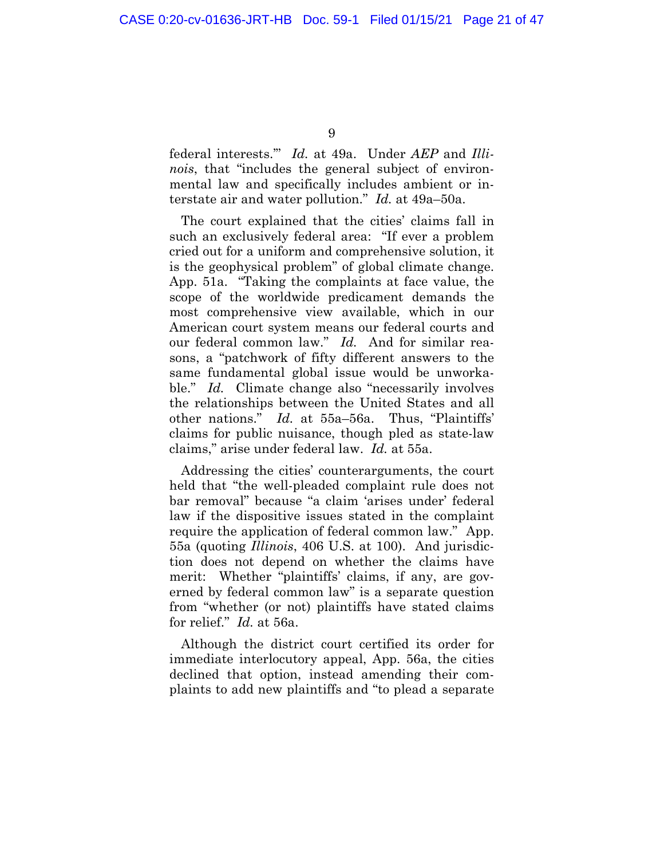federal interests.'" *Id.* at 49a. Under *AEP* and *Illinois*, that "includes the general subject of environmental law and specifically includes ambient or interstate air and water pollution." *Id.* at 49a–50a.

The court explained that the cities' claims fall in such an exclusively federal area: "If ever a problem cried out for a uniform and comprehensive solution, it is the geophysical problem" of global climate change. App. 51a. "Taking the complaints at face value, the scope of the worldwide predicament demands the most comprehensive view available, which in our American court system means our federal courts and our federal common law." *Id.* And for similar reasons, a "patchwork of fifty different answers to the same fundamental global issue would be unworkable." *Id.* Climate change also "necessarily involves the relationships between the United States and all other nations." *Id.* at 55a–56a. Thus, "Plaintiffs' claims for public nuisance, though pled as state-law claims," arise under federal law. *Id.* at 55a.

Addressing the cities' counterarguments, the court held that "the well-pleaded complaint rule does not bar removal" because "a claim 'arises under' federal law if the dispositive issues stated in the complaint require the application of federal common law." App. 55a (quoting *Illinois*, 406 U.S. at 100). And jurisdiction does not depend on whether the claims have merit: Whether "plaintiffs' claims, if any, are governed by federal common law" is a separate question from "whether (or not) plaintiffs have stated claims for relief." *Id.* at 56a.

Although the district court certified its order for immediate interlocutory appeal, App. 56a, the cities declined that option, instead amending their complaints to add new plaintiffs and "to plead a separate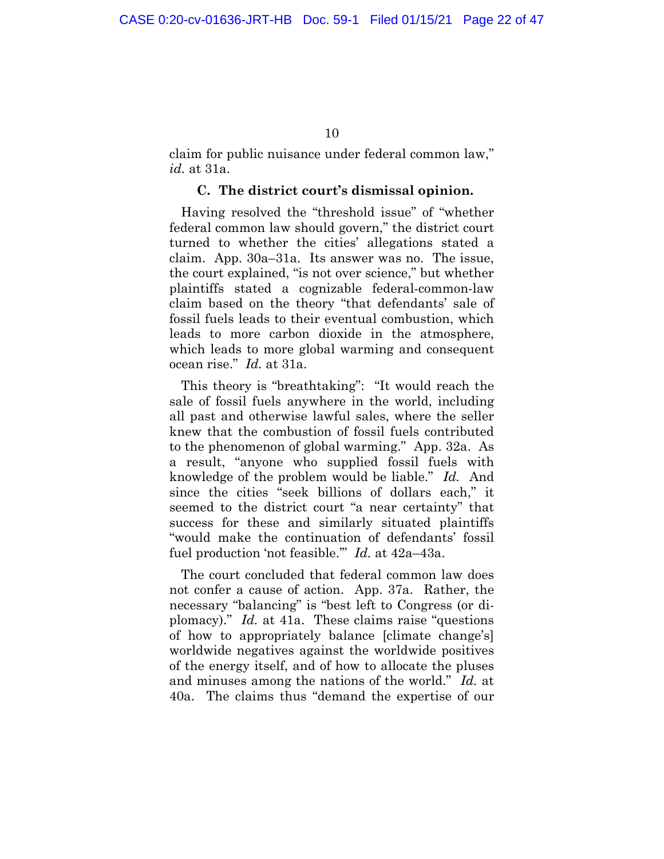<span id="page-20-0"></span>claim for public nuisance under federal common law," *id.* at 31a.

#### **C. The district court's dismissal opinion.**

Having resolved the "threshold issue" of "whether federal common law should govern," the district court turned to whether the cities' allegations stated a claim. App. 30a–31a. Its answer was no. The issue, the court explained, "is not over science," but whether plaintiffs stated a cognizable federal-common-law claim based on the theory "that defendants' sale of fossil fuels leads to their eventual combustion, which leads to more carbon dioxide in the atmosphere, which leads to more global warming and consequent ocean rise." *Id.* at 31a.

This theory is "breathtaking": "It would reach the sale of fossil fuels anywhere in the world, including all past and otherwise lawful sales, where the seller knew that the combustion of fossil fuels contributed to the phenomenon of global warming." App. 32a. As a result, "anyone who supplied fossil fuels with knowledge of the problem would be liable." *Id.* And since the cities "seek billions of dollars each," it seemed to the district court "a near certainty" that success for these and similarly situated plaintiffs "would make the continuation of defendants' fossil fuel production 'not feasible.'" *Id.* at 42a–43a.

The court concluded that federal common law does not confer a cause of action. App. 37a. Rather, the necessary "balancing" is "best left to Congress (or diplomacy)." *Id.* at 41a. These claims raise "questions of how to appropriately balance [climate change's] worldwide negatives against the worldwide positives of the energy itself, and of how to allocate the pluses and minuses among the nations of the world." *Id.* at 40a. The claims thus "demand the expertise of our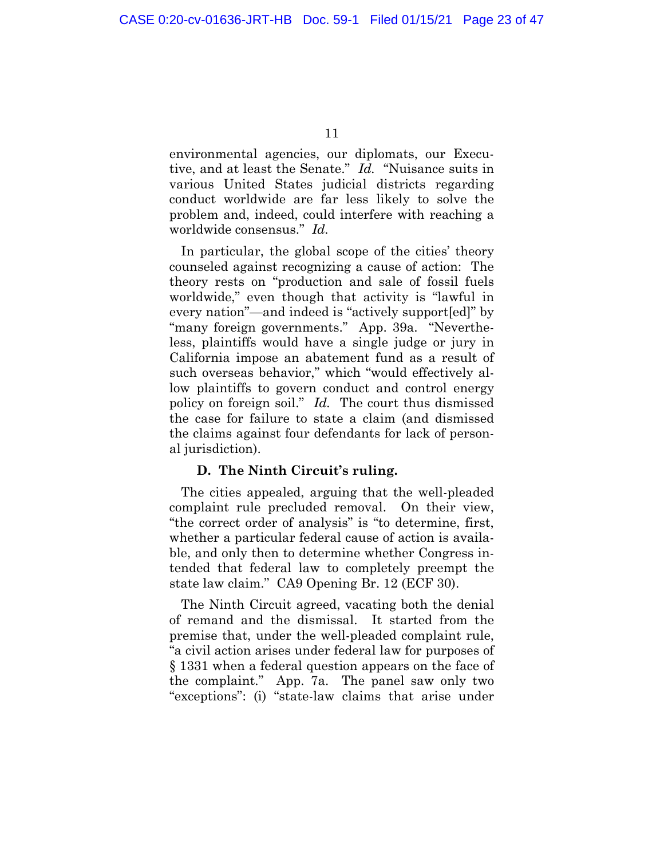<span id="page-21-0"></span>environmental agencies, our diplomats, our Executive, and at least the Senate." *Id.* "Nuisance suits in various United States judicial districts regarding conduct worldwide are far less likely to solve the problem and, indeed, could interfere with reaching a worldwide consensus." *Id.*

In particular, the global scope of the cities' theory counseled against recognizing a cause of action: The theory rests on "production and sale of fossil fuels worldwide," even though that activity is "lawful in every nation"—and indeed is "actively support[ed]" by "many foreign governments." App. 39a. "Nevertheless, plaintiffs would have a single judge or jury in California impose an abatement fund as a result of such overseas behavior," which "would effectively allow plaintiffs to govern conduct and control energy policy on foreign soil." *Id.* The court thus dismissed the case for failure to state a claim (and dismissed the claims against four defendants for lack of personal jurisdiction).

#### **D. The Ninth Circuit's ruling.**

The cities appealed, arguing that the well-pleaded complaint rule precluded removal. On their view, "the correct order of analysis" is "to determine, first, whether a particular federal cause of action is available, and only then to determine whether Congress intended that federal law to completely preempt the state law claim." CA9 Opening Br. 12 (ECF 30).

The Ninth Circuit agreed, vacating both the denial of remand and the dismissal. It started from the premise that, under the well-pleaded complaint rule, "a civil action arises under federal law for purposes of § 1331 when a federal question appears on the face of the complaint." App. 7a. The panel saw only two "exceptions": (i) "state-law claims that arise under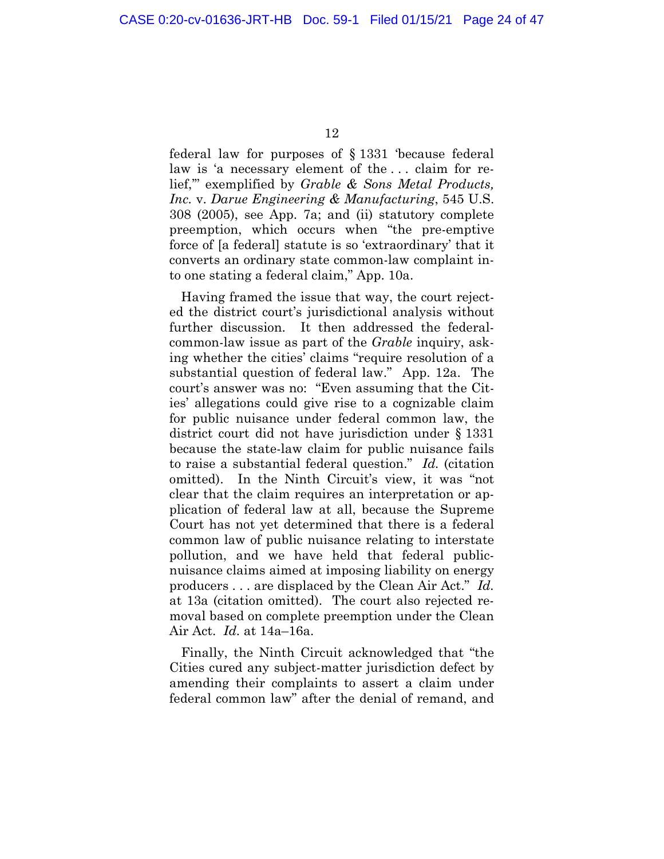federal law for purposes of § 1331 'because federal law is 'a necessary element of the . . . claim for relief,'" exemplified by *Grable & Sons Metal Products, Inc.* v. *Darue Engineering & Manufacturing*, 545 U.S. 308 (2005), see App. 7a; and (ii) statutory complete preemption, which occurs when "the pre-emptive force of [a federal] statute is so 'extraordinary' that it converts an ordinary state common-law complaint into one stating a federal claim," App. 10a.

Having framed the issue that way, the court rejected the district court's jurisdictional analysis without further discussion. It then addressed the federalcommon-law issue as part of the *Grable* inquiry, asking whether the cities' claims "require resolution of a substantial question of federal law." App. 12a. The court's answer was no: "Even assuming that the Cities' allegations could give rise to a cognizable claim for public nuisance under federal common law, the district court did not have jurisdiction under § 1331 because the state-law claim for public nuisance fails to raise a substantial federal question." *Id.* (citation omitted). In the Ninth Circuit's view, it was "not clear that the claim requires an interpretation or application of federal law at all, because the Supreme Court has not yet determined that there is a federal common law of public nuisance relating to interstate pollution, and we have held that federal publicnuisance claims aimed at imposing liability on energy producers . . . are displaced by the Clean Air Act." *Id.* at 13a (citation omitted). The court also rejected removal based on complete preemption under the Clean Air Act. *Id.* at 14a–16a.

Finally, the Ninth Circuit acknowledged that "the Cities cured any subject-matter jurisdiction defect by amending their complaints to assert a claim under federal common law" after the denial of remand, and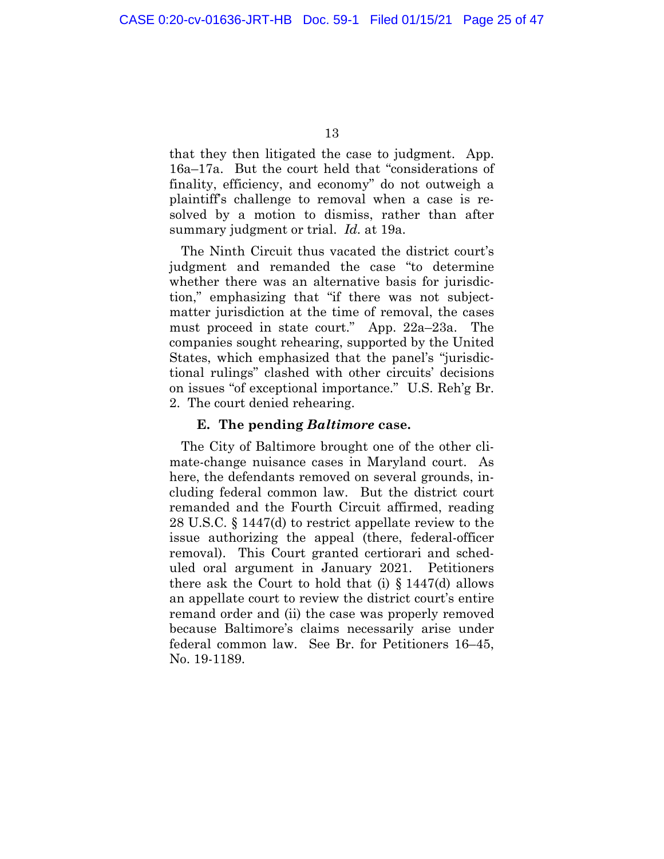<span id="page-23-0"></span>that they then litigated the case to judgment. App. 16a–17a. But the court held that "considerations of finality, efficiency, and economy" do not outweigh a plaintiff's challenge to removal when a case is resolved by a motion to dismiss, rather than after summary judgment or trial. *Id.* at 19a.

The Ninth Circuit thus vacated the district court's judgment and remanded the case "to determine whether there was an alternative basis for jurisdiction," emphasizing that "if there was not subjectmatter jurisdiction at the time of removal, the cases must proceed in state court." App. 22a–23a. The companies sought rehearing, supported by the United States, which emphasized that the panel's "jurisdictional rulings" clashed with other circuits' decisions on issues "of exceptional importance." U.S. Reh'g Br. 2. The court denied rehearing.

### **E. The pending** *Baltimore* **case.**

The City of Baltimore brought one of the other climate-change nuisance cases in Maryland court. As here, the defendants removed on several grounds, including federal common law. But the district court remanded and the Fourth Circuit affirmed, reading 28 U.S.C. § 1447(d) to restrict appellate review to the issue authorizing the appeal (there, federal-officer removal). This Court granted certiorari and scheduled oral argument in January 2021. Petitioners there ask the Court to hold that (i)  $\S 1447$ (d) allows an appellate court to review the district court's entire remand order and (ii) the case was properly removed because Baltimore's claims necessarily arise under federal common law. See Br. for Petitioners 16–45, No. 19-1189.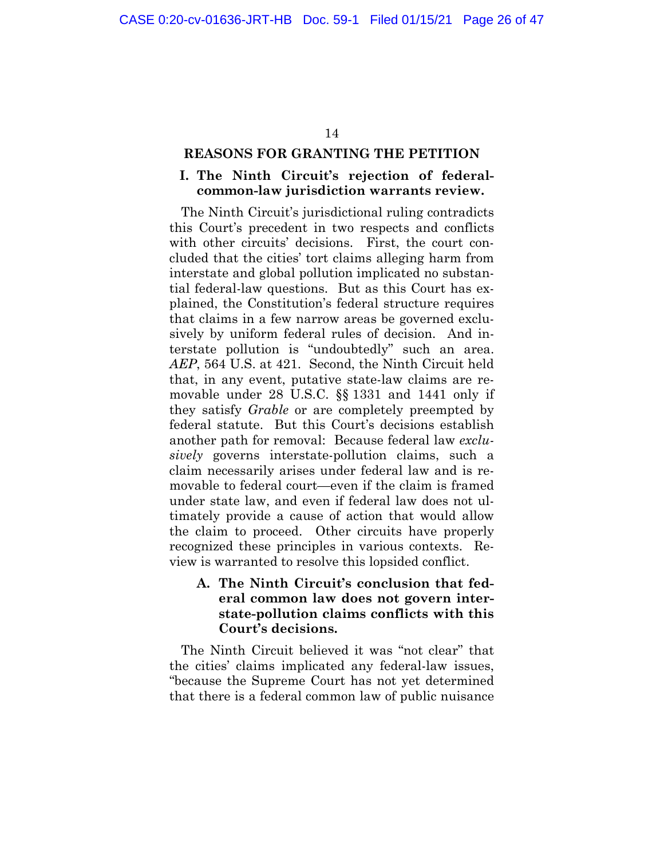#### <span id="page-24-0"></span>**REASONS FOR GRANTING THE PETITION**

### **I. The Ninth Circuit's rejection of federalcommon-law jurisdiction warrants review.**

The Ninth Circuit's jurisdictional ruling contradicts this Court's precedent in two respects and conflicts with other circuits' decisions. First, the court concluded that the cities' tort claims alleging harm from interstate and global pollution implicated no substantial federal-law questions. But as this Court has explained, the Constitution's federal structure requires that claims in a few narrow areas be governed exclusively by uniform federal rules of decision. And interstate pollution is "undoubtedly" such an area. *AEP*, 564 U.S. at 421. Second, the Ninth Circuit held that, in any event, putative state-law claims are removable under 28 U.S.C. §§ 1331 and 1441 only if they satisfy *Grable* or are completely preempted by federal statute. But this Court's decisions establish another path for removal: Because federal law *exclusively* governs interstate-pollution claims, such a claim necessarily arises under federal law and is removable to federal court—even if the claim is framed under state law, and even if federal law does not ultimately provide a cause of action that would allow the claim to proceed. Other circuits have properly recognized these principles in various contexts. Review is warranted to resolve this lopsided conflict.

## **A. The Ninth Circuit's conclusion that federal common law does not govern interstate-pollution claims conflicts with this Court's decisions.**

The Ninth Circuit believed it was "not clear" that the cities' claims implicated any federal-law issues, "because the Supreme Court has not yet determined that there is a federal common law of public nuisance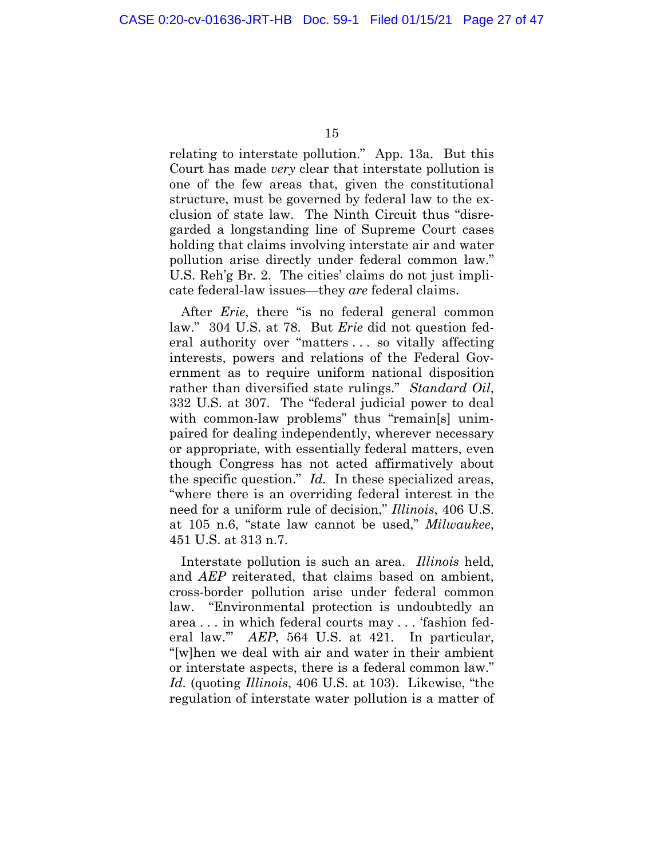relating to interstate pollution." App. 13a. But this Court has made *very* clear that interstate pollution is one of the few areas that, given the constitutional structure, must be governed by federal law to the exclusion of state law. The Ninth Circuit thus "disregarded a longstanding line of Supreme Court cases holding that claims involving interstate air and water pollution arise directly under federal common law." U.S. Reh'g Br. 2. The cities' claims do not just implicate federal-law issues—they *are* federal claims.

After *Erie*, there "is no federal general common law." 304 U.S. at 78. But *Erie* did not question federal authority over "matters . . . so vitally affecting interests, powers and relations of the Federal Government as to require uniform national disposition rather than diversified state rulings." *Standard Oil*, 332 U.S. at 307. The "federal judicial power to deal with common-law problems" thus "remain[s] unimpaired for dealing independently, wherever necessary or appropriate, with essentially federal matters, even though Congress has not acted affirmatively about the specific question." *Id.* In these specialized areas, "where there is an overriding federal interest in the need for a uniform rule of decision," *Illinois*, 406 U.S. at 105 n.6, "state law cannot be used," *Milwaukee*, 451 U.S. at 313 n.7.

Interstate pollution is such an area. *Illinois* held, and *AEP* reiterated, that claims based on ambient, cross-border pollution arise under federal common law. "Environmental protection is undoubtedly an area . . . in which federal courts may . . . 'fashion federal law.'" *AEP*, 564 U.S. at 421. In particular, "[w]hen we deal with air and water in their ambient or interstate aspects, there is a federal common law." *Id.* (quoting *Illinois*, 406 U.S. at 103). Likewise, "the regulation of interstate water pollution is a matter of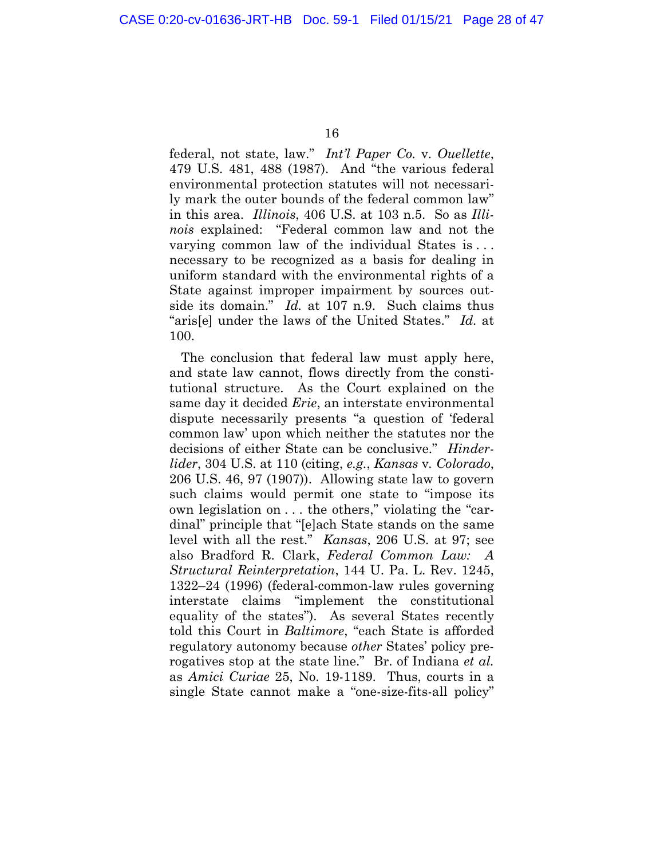federal, not state, law." *Int'l Paper Co.* v. *Ouellette*, 479 U.S. 481, 488 (1987). And "the various federal environmental protection statutes will not necessarily mark the outer bounds of the federal common law" in this area. *Illinois*, 406 U.S. at 103 n.5. So as *Illinois* explained: "Federal common law and not the varying common law of the individual States is . . . necessary to be recognized as a basis for dealing in uniform standard with the environmental rights of a State against improper impairment by sources outside its domain." *Id.* at 107 n.9. Such claims thus "aris[e] under the laws of the United States." *Id.* at 100.

The conclusion that federal law must apply here, and state law cannot, flows directly from the constitutional structure. As the Court explained on the same day it decided *Erie*, an interstate environmental dispute necessarily presents "a question of 'federal common law' upon which neither the statutes nor the decisions of either State can be conclusive." *Hinderlider*, 304 U.S. at 110 (citing, *e.g.*, *Kansas* v*. Colorado*, 206 U.S. 46, 97 (1907)). Allowing state law to govern such claims would permit one state to "impose its own legislation on . . . the others," violating the "cardinal" principle that "[e]ach State stands on the same level with all the rest." *Kansas*, 206 U.S. at 97; see also Bradford R. Clark, *Federal Common Law: A Structural Reinterpretation*, 144 U. Pa. L. Rev. 1245, 1322–24 (1996) (federal-common-law rules governing interstate claims "implement the constitutional equality of the states"). As several States recently told this Court in *Baltimore*, "each State is afforded regulatory autonomy because *other* States' policy prerogatives stop at the state line." Br. of Indiana *et al.* as *Amici Curiae* 25, No. 19-1189. Thus, courts in a single State cannot make a "one-size-fits-all policy"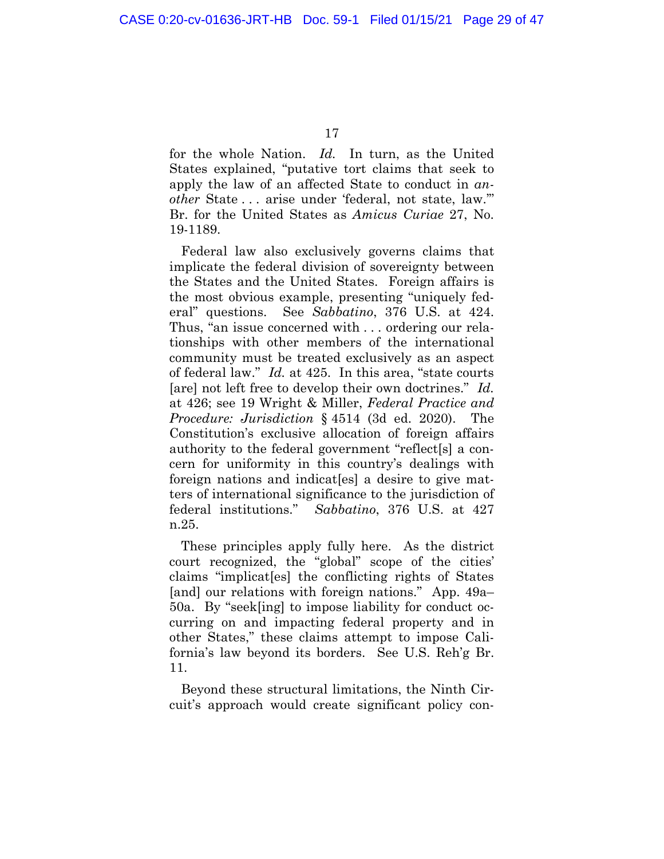for the whole Nation. *Id.* In turn, as the United States explained, "putative tort claims that seek to apply the law of an affected State to conduct in *another* State . . . arise under 'federal, not state, law.'" Br. for the United States as *Amicus Curiae* 27, No. 19-1189.

Federal law also exclusively governs claims that implicate the federal division of sovereignty between the States and the United States. Foreign affairs is the most obvious example, presenting "uniquely federal" questions. See *Sabbatino*, 376 U.S. at 424. Thus, "an issue concerned with . . . ordering our relationships with other members of the international community must be treated exclusively as an aspect of federal law." *Id.* at 425. In this area, "state courts [are] not left free to develop their own doctrines." *Id.* at 426; see 19 Wright & Miller, *Federal Practice and Procedure: Jurisdiction* § 4514 (3d ed. 2020). The Constitution's exclusive allocation of foreign affairs authority to the federal government "reflect[s] a concern for uniformity in this country's dealings with foreign nations and indicat[es] a desire to give matters of international significance to the jurisdiction of federal institutions." *Sabbatino*, 376 U.S. at 427 n.25.

These principles apply fully here. As the district court recognized, the "global" scope of the cities' claims "implicat[es] the conflicting rights of States [and] our relations with foreign nations." App. 49a– 50a. By "seek[ing] to impose liability for conduct occurring on and impacting federal property and in other States," these claims attempt to impose California's law beyond its borders. See U.S. Reh'g Br. 11.

Beyond these structural limitations, the Ninth Circuit's approach would create significant policy con-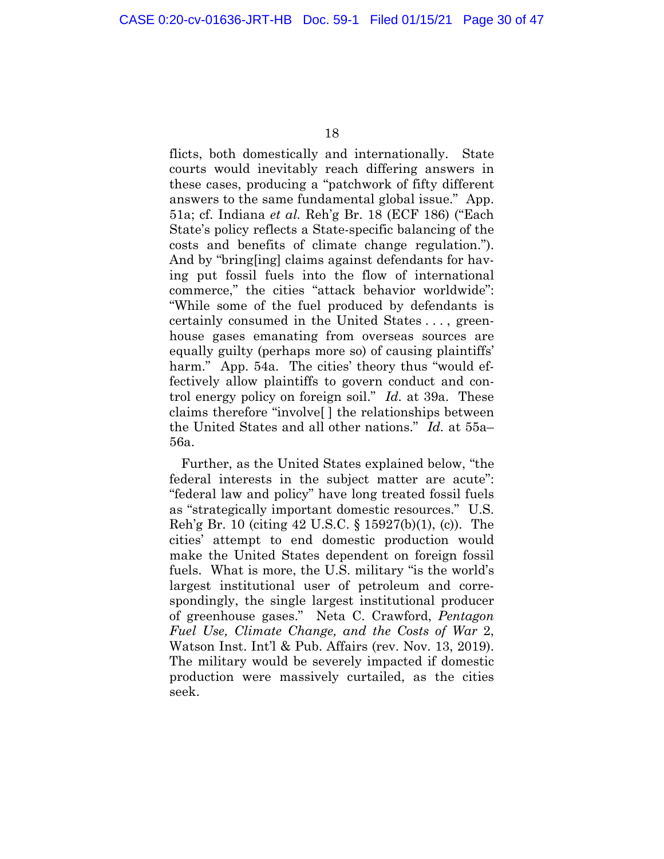flicts, both domestically and internationally. State courts would inevitably reach differing answers in these cases, producing a "patchwork of fifty different answers to the same fundamental global issue." App. 51a; cf. Indiana *et al.* Reh'g Br. 18 (ECF 186) ("Each State's policy reflects a State-specific balancing of the costs and benefits of climate change regulation."). And by "bring[ing] claims against defendants for having put fossil fuels into the flow of international commerce," the cities "attack behavior worldwide": "While some of the fuel produced by defendants is certainly consumed in the United States . . . , greenhouse gases emanating from overseas sources are equally guilty (perhaps more so) of causing plaintiffs' harm." App. 54a. The cities' theory thus "would effectively allow plaintiffs to govern conduct and control energy policy on foreign soil." *Id.* at 39a. These claims therefore "involve[ ] the relationships between the United States and all other nations." *Id.* at 55a– 56a.

Further, as the United States explained below, "the federal interests in the subject matter are acute": "federal law and policy" have long treated fossil fuels as "strategically important domestic resources." U.S. Reh'g Br. 10 (citing 42 U.S.C. § 15927(b)(1), (c)). The cities' attempt to end domestic production would make the United States dependent on foreign fossil fuels. What is more, the U.S. military "is the world's largest institutional user of petroleum and correspondingly, the single largest institutional producer of greenhouse gases." Neta C. Crawford, *Pentagon Fuel Use, Climate Change, and the Costs of War* 2, Watson Inst. Int'l & Pub. Affairs (rev. Nov. 13, 2019). The military would be severely impacted if domestic production were massively curtailed, as the cities seek.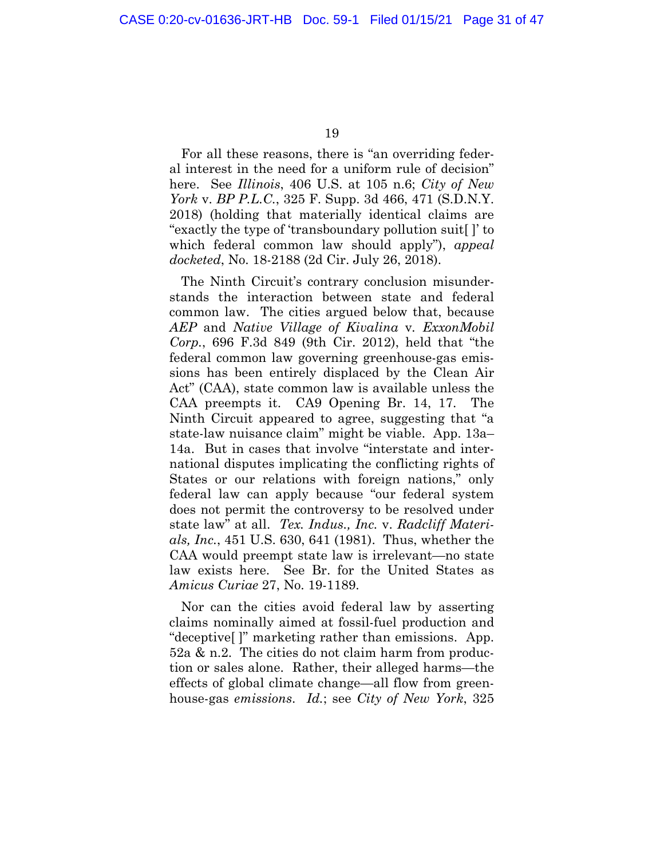For all these reasons, there is "an overriding federal interest in the need for a uniform rule of decision" here. See *Illinois*, 406 U.S. at 105 n.6; *City of New York* v. *BP P.L.C.*, 325 F. Supp. 3d 466, 471 (S.D.N.Y. 2018) (holding that materially identical claims are "exactly the type of 'transboundary pollution suit[ ]' to which federal common law should apply"), *appeal docketed*, No. 18-2188 (2d Cir. July 26, 2018).

The Ninth Circuit's contrary conclusion misunderstands the interaction between state and federal common law. The cities argued below that, because *AEP* and *Native Village of Kivalina* v*. ExxonMobil Corp.*, 696 F.3d 849 (9th Cir. 2012), held that "the federal common law governing greenhouse-gas emissions has been entirely displaced by the Clean Air Act" (CAA), state common law is available unless the CAA preempts it. CA9 Opening Br. 14, 17. The Ninth Circuit appeared to agree, suggesting that "a state-law nuisance claim" might be viable. App. 13a– 14a. But in cases that involve "interstate and international disputes implicating the conflicting rights of States or our relations with foreign nations," only federal law can apply because "our federal system does not permit the controversy to be resolved under state law" at all. *Tex. Indus., Inc.* v. *Radcliff Materials, Inc.*, 451 U.S. 630, 641 (1981). Thus, whether the CAA would preempt state law is irrelevant—no state law exists here. See Br. for the United States as *Amicus Curiae* 27, No. 19-1189.

Nor can the cities avoid federal law by asserting claims nominally aimed at fossil-fuel production and "deceptive[ ]" marketing rather than emissions. App. 52a & n.2. The cities do not claim harm from production or sales alone. Rather, their alleged harms—the effects of global climate change—all flow from greenhouse-gas *emissions*. *Id.*; see *City of New York*, 325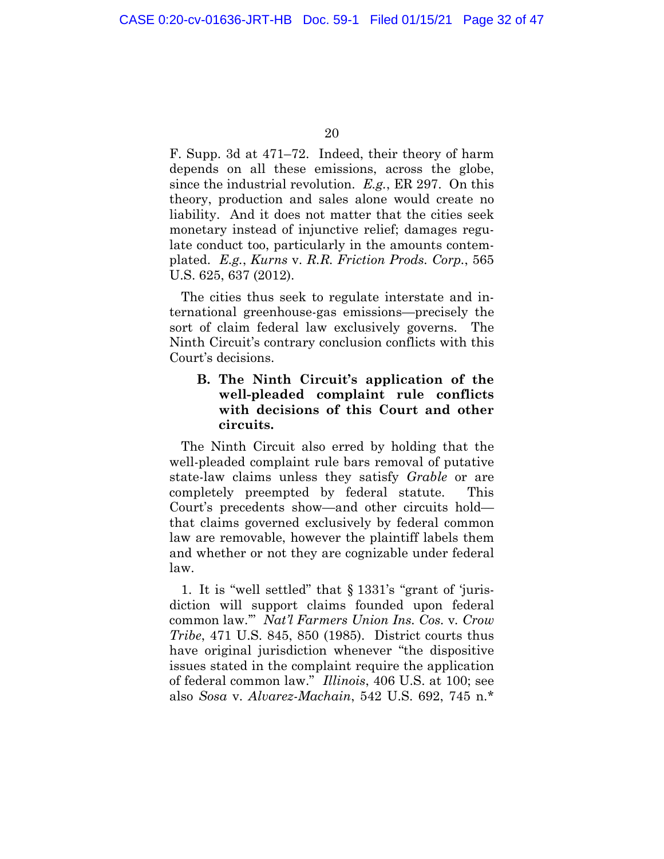<span id="page-30-0"></span>F. Supp. 3d at 471–72. Indeed, their theory of harm depends on all these emissions, across the globe, since the industrial revolution. *E.g.*, ER 297. On this theory, production and sales alone would create no liability. And it does not matter that the cities seek monetary instead of injunctive relief; damages regulate conduct too, particularly in the amounts contemplated. *E.g.*, *Kurns* v. *R.R. Friction Prods. Corp.*, 565 U.S. 625, 637 (2012).

The cities thus seek to regulate interstate and international greenhouse-gas emissions—precisely the sort of claim federal law exclusively governs. The Ninth Circuit's contrary conclusion conflicts with this Court's decisions.

### **B. The Ninth Circuit's application of the well-pleaded complaint rule conflicts with decisions of this Court and other circuits.**

The Ninth Circuit also erred by holding that the well-pleaded complaint rule bars removal of putative state-law claims unless they satisfy *Grable* or are completely preempted by federal statute. This Court's precedents show—and other circuits hold that claims governed exclusively by federal common law are removable, however the plaintiff labels them and whether or not they are cognizable under federal law.

1. It is "well settled" that § 1331's "grant of 'jurisdiction will support claims founded upon federal common law.'" *Nat'l Farmers Union Ins. Cos.* v*. Crow Tribe*, 471 U.S. 845, 850 (1985). District courts thus have original jurisdiction whenever "the dispositive issues stated in the complaint require the application of federal common law." *Illinois*, 406 U.S. at 100; see also *Sosa* v. *Alvarez-Machain*, 542 U.S. 692, 745 n.\*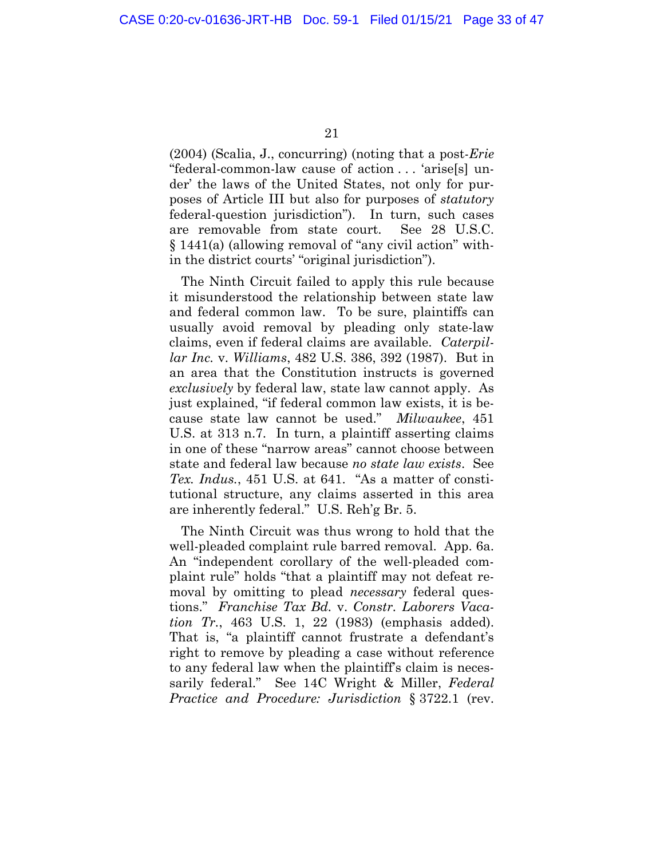(2004) (Scalia, J., concurring) (noting that a post-*Erie* "federal-common-law cause of action . . . 'arise[s] under' the laws of the United States, not only for purposes of Article III but also for purposes of *statutory* federal-question jurisdiction"). In turn, such cases are removable from state court. See 28 U.S.C. § 1441(a) (allowing removal of "any civil action" within the district courts' "original jurisdiction").

The Ninth Circuit failed to apply this rule because it misunderstood the relationship between state law and federal common law. To be sure, plaintiffs can usually avoid removal by pleading only state-law claims, even if federal claims are available. *Caterpillar Inc.* v. *Williams*, 482 U.S. 386, 392 (1987). But in an area that the Constitution instructs is governed *exclusively* by federal law, state law cannot apply. As just explained, "if federal common law exists, it is because state law cannot be used." *Milwaukee*, 451 U.S. at 313 n.7. In turn, a plaintiff asserting claims in one of these "narrow areas" cannot choose between state and federal law because *no state law exists*. See *Tex. Indus.*, 451 U.S. at 641. "As a matter of constitutional structure, any claims asserted in this area are inherently federal." U.S. Reh'g Br. 5.

The Ninth Circuit was thus wrong to hold that the well-pleaded complaint rule barred removal. App. 6a. An "independent corollary of the well-pleaded complaint rule" holds "that a plaintiff may not defeat removal by omitting to plead *necessary* federal questions." *Franchise Tax Bd.* v. *Constr. Laborers Vacation Tr.*, 463 U.S. 1, 22 (1983) (emphasis added). That is, "a plaintiff cannot frustrate a defendant's right to remove by pleading a case without reference to any federal law when the plaintiff's claim is necessarily federal." See 14C Wright & Miller, *Federal Practice and Procedure: Jurisdiction* § 3722.1 (rev.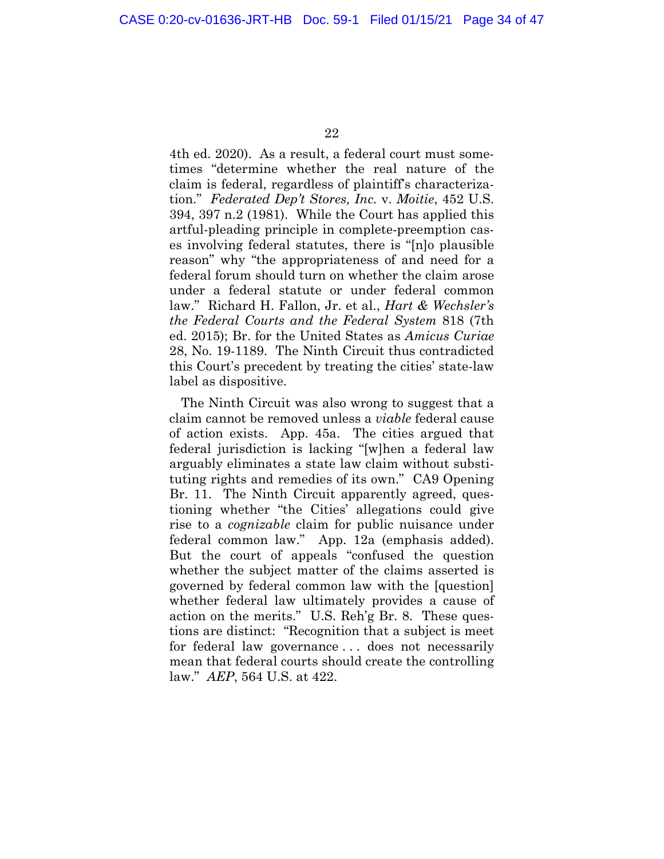4th ed. 2020). As a result, a federal court must sometimes "determine whether the real nature of the claim is federal, regardless of plaintiff's characterization." *Federated Dep't Stores, Inc.* v. *Moitie*, 452 U.S. 394, 397 n.2 (1981). While the Court has applied this artful-pleading principle in complete-preemption cases involving federal statutes, there is "[n]o plausible reason" why "the appropriateness of and need for a federal forum should turn on whether the claim arose under a federal statute or under federal common law." Richard H. Fallon, Jr. et al., *Hart & Wechsler's the Federal Courts and the Federal System* 818 (7th ed. 2015); Br. for the United States as *Amicus Curiae* 28, No. 19-1189. The Ninth Circuit thus contradicted this Court's precedent by treating the cities' state-law label as dispositive.

The Ninth Circuit was also wrong to suggest that a claim cannot be removed unless a *viable* federal cause of action exists. App. 45a. The cities argued that federal jurisdiction is lacking "[w]hen a federal law arguably eliminates a state law claim without substituting rights and remedies of its own." CA9 Opening Br. 11. The Ninth Circuit apparently agreed, questioning whether "the Cities' allegations could give rise to a *cognizable* claim for public nuisance under federal common law." App. 12a (emphasis added). But the court of appeals "confused the question whether the subject matter of the claims asserted is governed by federal common law with the [question] whether federal law ultimately provides a cause of action on the merits." U.S. Reh'g Br. 8. These questions are distinct: "Recognition that a subject is meet for federal law governance . . . does not necessarily mean that federal courts should create the controlling law." *AEP*, 564 U.S. at 422.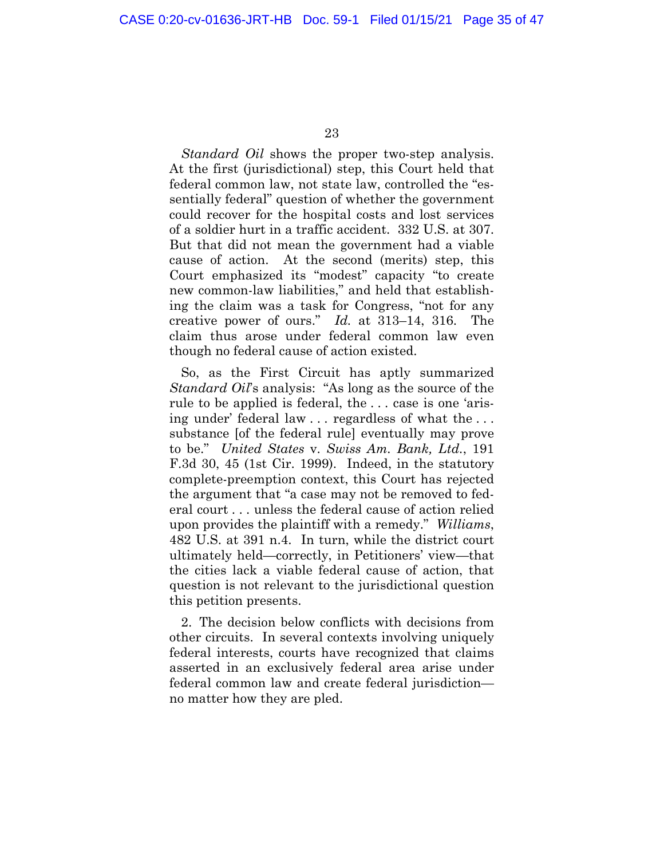*Standard Oil* shows the proper two-step analysis. At the first (jurisdictional) step, this Court held that federal common law, not state law, controlled the "essentially federal" question of whether the government could recover for the hospital costs and lost services of a soldier hurt in a traffic accident. 332 U.S. at 307. But that did not mean the government had a viable cause of action. At the second (merits) step, this Court emphasized its "modest" capacity "to create new common-law liabilities," and held that establishing the claim was a task for Congress, "not for any creative power of ours." *Id.* at 313–14, 316. The claim thus arose under federal common law even though no federal cause of action existed.

So, as the First Circuit has aptly summarized *Standard Oil*'s analysis: "As long as the source of the rule to be applied is federal, the . . . case is one 'arising under' federal law . . . regardless of what the . . . substance [of the federal rule] eventually may prove to be." *United States* v. *Swiss Am. Bank, Ltd.*, 191 F.3d 30, 45 (1st Cir. 1999). Indeed, in the statutory complete-preemption context, this Court has rejected the argument that "a case may not be removed to federal court . . . unless the federal cause of action relied upon provides the plaintiff with a remedy." *Williams*, 482 U.S. at 391 n.4. In turn, while the district court ultimately held—correctly, in Petitioners' view—that the cities lack a viable federal cause of action, that question is not relevant to the jurisdictional question this petition presents.

2. The decision below conflicts with decisions from other circuits. In several contexts involving uniquely federal interests, courts have recognized that claims asserted in an exclusively federal area arise under federal common law and create federal jurisdiction no matter how they are pled.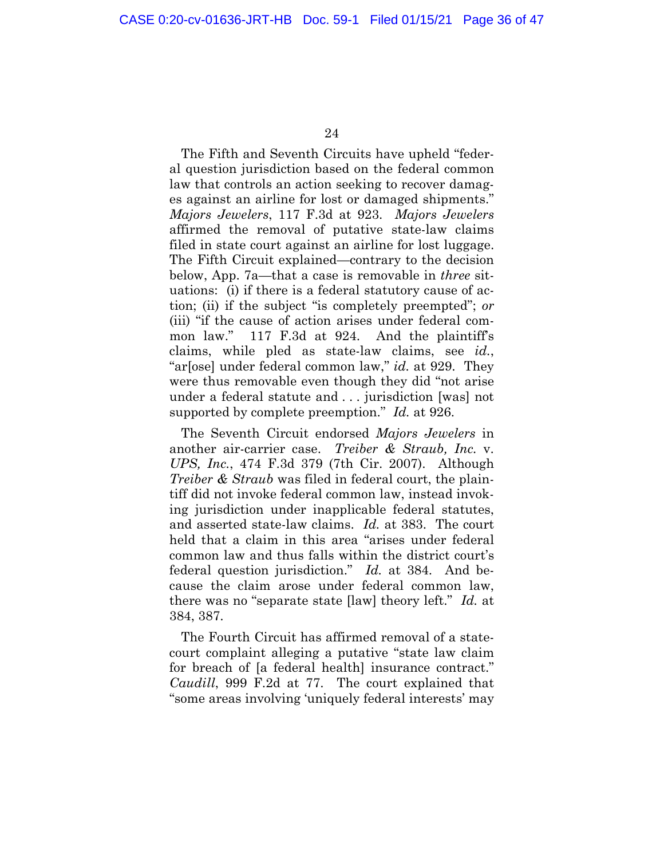The Fifth and Seventh Circuits have upheld "federal question jurisdiction based on the federal common law that controls an action seeking to recover damages against an airline for lost or damaged shipments." *Majors Jewelers*, 117 F.3d at 923. *Majors Jewelers* affirmed the removal of putative state-law claims filed in state court against an airline for lost luggage. The Fifth Circuit explained—contrary to the decision below, App. 7a—that a case is removable in *three* situations: (i) if there is a federal statutory cause of action; (ii) if the subject "is completely preempted"; *or* (iii) "if the cause of action arises under federal common law." 117 F.3d at 924. And the plaintiff's claims, while pled as state-law claims, see *id.*, "ar[ose] under federal common law," *id.* at 929. They were thus removable even though they did "not arise under a federal statute and . . . jurisdiction [was] not supported by complete preemption." *Id.* at 926.

The Seventh Circuit endorsed *Majors Jewelers* in another air-carrier case. *Treiber & Straub, Inc.* v. *UPS, Inc.*, 474 F.3d 379 (7th Cir. 2007). Although *Treiber & Straub* was filed in federal court, the plaintiff did not invoke federal common law, instead invoking jurisdiction under inapplicable federal statutes, and asserted state-law claims. *Id.* at 383. The court held that a claim in this area "arises under federal common law and thus falls within the district court's federal question jurisdiction." *Id.* at 384. And because the claim arose under federal common law, there was no "separate state [law] theory left." *Id.* at 384, 387.

The Fourth Circuit has affirmed removal of a statecourt complaint alleging a putative "state law claim for breach of [a federal health] insurance contract." *Caudill*, 999 F.2d at 77. The court explained that "some areas involving 'uniquely federal interests' may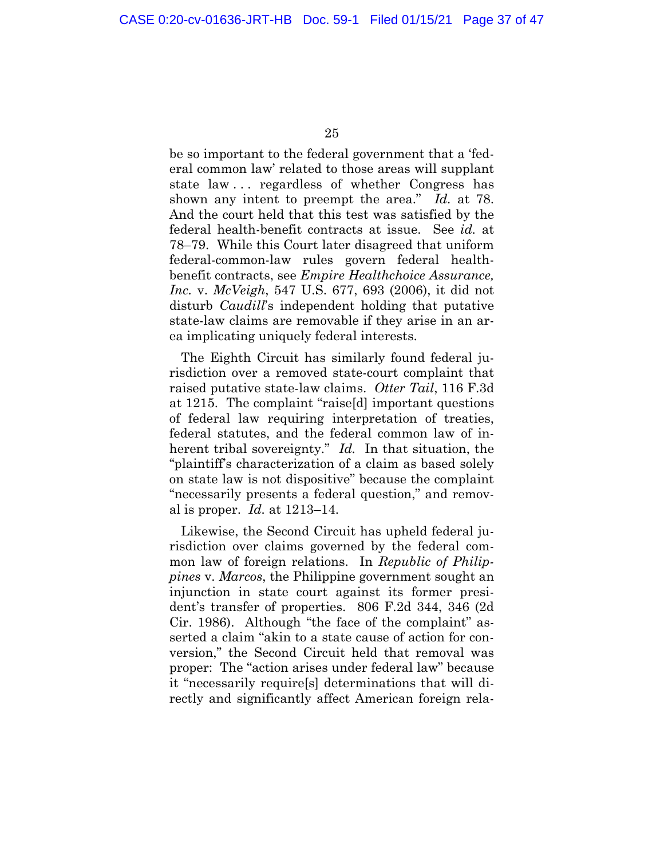be so important to the federal government that a 'federal common law' related to those areas will supplant state law . . . regardless of whether Congress has shown any intent to preempt the area." *Id.* at 78. And the court held that this test was satisfied by the federal health-benefit contracts at issue. See *id.* at 78–79. While this Court later disagreed that uniform federal-common-law rules govern federal healthbenefit contracts, see *Empire Healthchoice Assurance, Inc.* v. *McVeigh*, 547 U.S. 677, 693 (2006), it did not disturb *Caudill*'s independent holding that putative state-law claims are removable if they arise in an area implicating uniquely federal interests.

The Eighth Circuit has similarly found federal jurisdiction over a removed state-court complaint that raised putative state-law claims. *Otter Tail*, 116 F.3d at 1215. The complaint "raise[d] important questions of federal law requiring interpretation of treaties, federal statutes, and the federal common law of inherent tribal sovereignty." *Id.* In that situation, the "plaintiff's characterization of a claim as based solely on state law is not dispositive" because the complaint "necessarily presents a federal question," and removal is proper. *Id.* at 1213–14.

Likewise, the Second Circuit has upheld federal jurisdiction over claims governed by the federal common law of foreign relations. In *Republic of Philippines* v. *Marcos*, the Philippine government sought an injunction in state court against its former president's transfer of properties. 806 F.2d 344, 346 (2d Cir. 1986). Although "the face of the complaint" asserted a claim "akin to a state cause of action for conversion," the Second Circuit held that removal was proper: The "action arises under federal law" because it "necessarily require[s] determinations that will directly and significantly affect American foreign rela-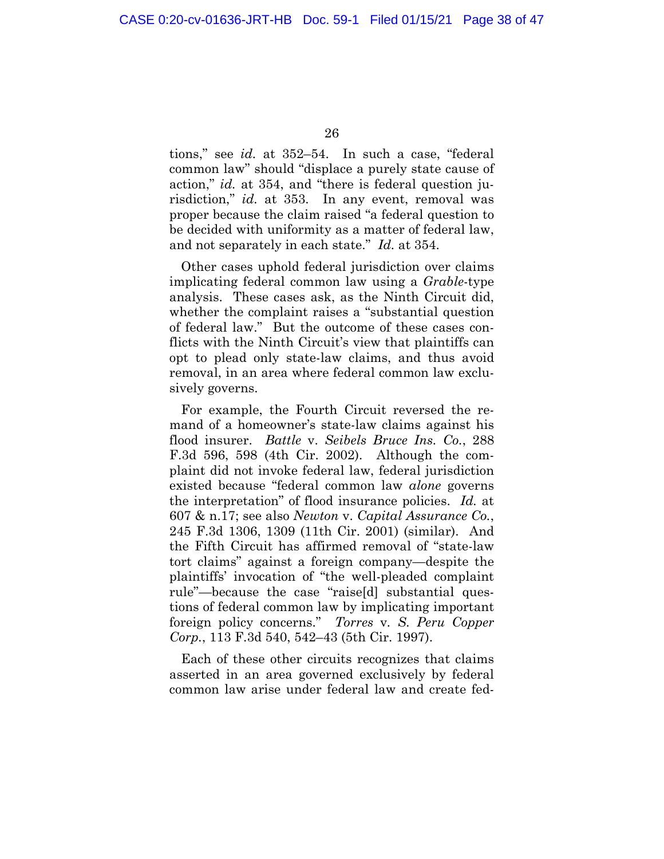tions," see *id.* at 352–54. In such a case, "federal common law" should "displace a purely state cause of action," *id.* at 354, and "there is federal question jurisdiction," *id.* at 353. In any event, removal was proper because the claim raised "a federal question to be decided with uniformity as a matter of federal law, and not separately in each state." *Id.* at 354.

Other cases uphold federal jurisdiction over claims implicating federal common law using a *Grable*-type analysis. These cases ask, as the Ninth Circuit did, whether the complaint raises a "substantial question of federal law." But the outcome of these cases conflicts with the Ninth Circuit's view that plaintiffs can opt to plead only state-law claims, and thus avoid removal, in an area where federal common law exclusively governs.

For example, the Fourth Circuit reversed the remand of a homeowner's state-law claims against his flood insurer. *Battle* v. *Seibels Bruce Ins. Co.*, 288 F.3d 596, 598 (4th Cir. 2002). Although the complaint did not invoke federal law, federal jurisdiction existed because "federal common law *alone* governs the interpretation" of flood insurance policies. *Id.* at 607 & n.17; see also *Newton* v. *Capital Assurance Co.*, 245 F.3d 1306, 1309 (11th Cir. 2001) (similar). And the Fifth Circuit has affirmed removal of "state-law tort claims" against a foreign company—despite the plaintiffs' invocation of "the well-pleaded complaint rule"—because the case "raise[d] substantial questions of federal common law by implicating important foreign policy concerns." *Torres* v*. S. Peru Copper Corp.*, 113 F.3d 540, 542–43 (5th Cir. 1997).

Each of these other circuits recognizes that claims asserted in an area governed exclusively by federal common law arise under federal law and create fed-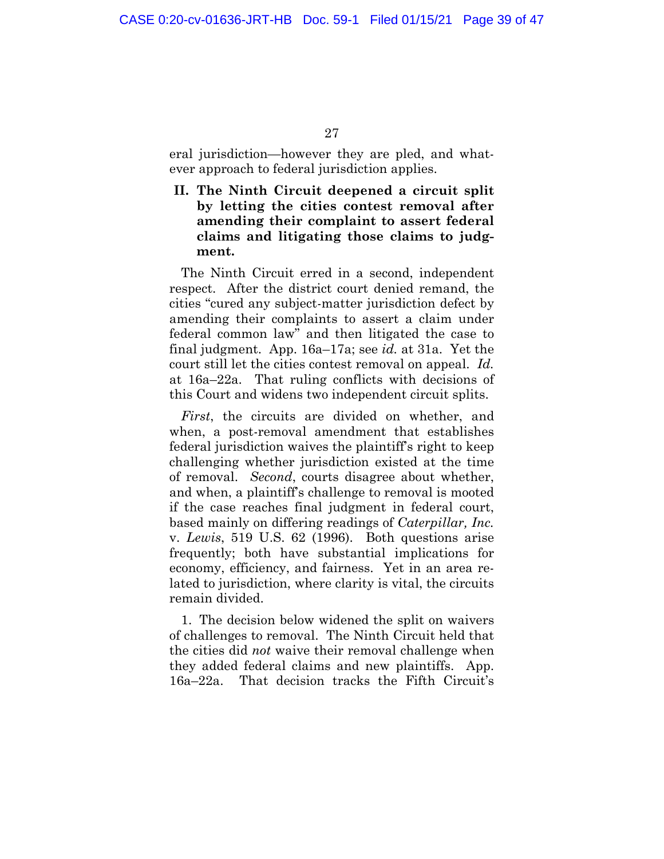<span id="page-37-0"></span>eral jurisdiction—however they are pled, and whatever approach to federal jurisdiction applies.

**II. The Ninth Circuit deepened a circuit split by letting the cities contest removal after amending their complaint to assert federal claims and litigating those claims to judgment.** 

The Ninth Circuit erred in a second, independent respect. After the district court denied remand, the cities "cured any subject-matter jurisdiction defect by amending their complaints to assert a claim under federal common law" and then litigated the case to final judgment. App. 16a–17a; see *id.* at 31a. Yet the court still let the cities contest removal on appeal. *Id.* at 16a–22a. That ruling conflicts with decisions of this Court and widens two independent circuit splits.

*First*, the circuits are divided on whether, and when, a post-removal amendment that establishes federal jurisdiction waives the plaintiff's right to keep challenging whether jurisdiction existed at the time of removal. *Second*, courts disagree about whether, and when, a plaintiff's challenge to removal is mooted if the case reaches final judgment in federal court, based mainly on differing readings of *Caterpillar, Inc.*  v. *Lewis*, 519 U.S. 62 (1996). Both questions arise frequently; both have substantial implications for economy, efficiency, and fairness. Yet in an area related to jurisdiction, where clarity is vital, the circuits remain divided.

1. The decision below widened the split on waivers of challenges to removal. The Ninth Circuit held that the cities did *not* waive their removal challenge when they added federal claims and new plaintiffs. App. 16a–22a. That decision tracks the Fifth Circuit's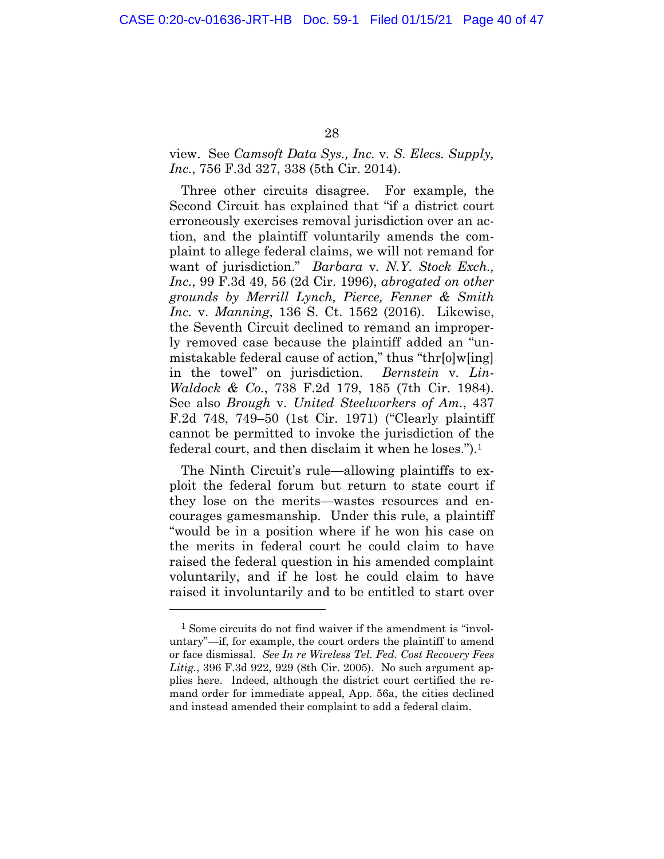### view. See *Camsoft Data Sys., Inc.* v*. S. Elecs. Supply, Inc.*, 756 F.3d 327, 338 (5th Cir. 2014).

Three other circuits disagree. For example, the Second Circuit has explained that "if a district court erroneously exercises removal jurisdiction over an action, and the plaintiff voluntarily amends the complaint to allege federal claims, we will not remand for want of jurisdiction." *Barbara* v*. N.Y. Stock Exch., Inc.*, 99 F.3d 49, 56 (2d Cir. 1996), *abrogated on other grounds by Merrill Lynch, Pierce, Fenner & Smith Inc.* v. *Manning*, 136 S. Ct. 1562 (2016). Likewise, the Seventh Circuit declined to remand an improperly removed case because the plaintiff added an "unmistakable federal cause of action," thus "thr[o]w[ing] in the towel" on jurisdiction. *Bernstein* v*. Lin-Waldock & Co.*, 738 F.2d 179, 185 (7th Cir. 1984). See also *Brough* v. *United Steelworkers of Am.*, 437 F.2d 748, 749–50 (1st Cir. 1971) ("Clearly plaintiff cannot be permitted to invoke the jurisdiction of the federal court, and then disclaim it when he loses.").1

The Ninth Circuit's rule—allowing plaintiffs to exploit the federal forum but return to state court if they lose on the merits—wastes resources and encourages gamesmanship. Under this rule, a plaintiff "would be in a position where if he won his case on the merits in federal court he could claim to have raised the federal question in his amended complaint voluntarily, and if he lost he could claim to have raised it involuntarily and to be entitled to start over

<sup>1</sup> Some circuits do not find waiver if the amendment is "involuntary"—if, for example, the court orders the plaintiff to amend or face dismissal. *See In re Wireless Tel. Fed. Cost Recovery Fees Litig.*, 396 F.3d 922, 929 (8th Cir. 2005).No such argument applies here. Indeed, although the district court certified the remand order for immediate appeal, App. 56a, the cities declined and instead amended their complaint to add a federal claim.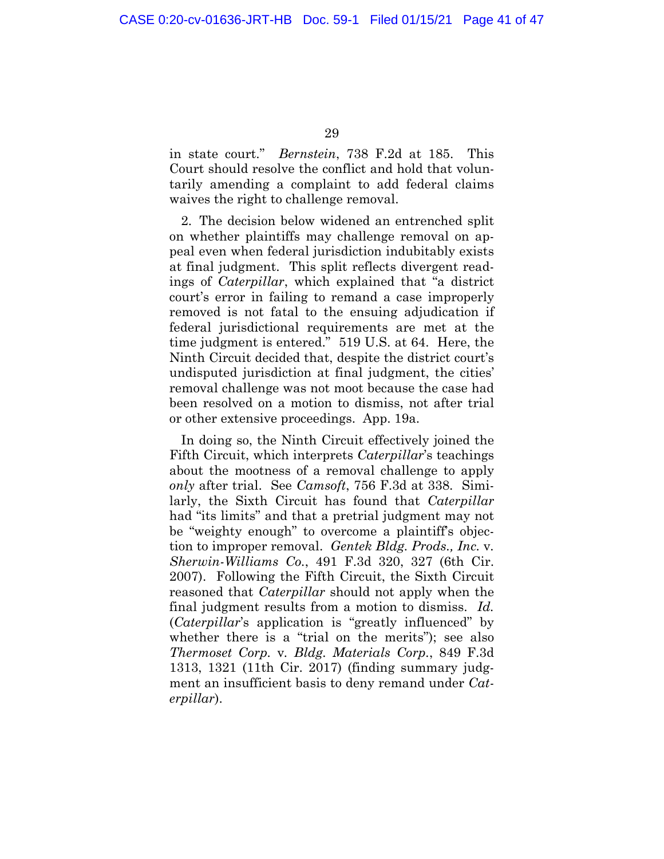in state court." *Bernstein*, 738 F.2d at 185. This Court should resolve the conflict and hold that voluntarily amending a complaint to add federal claims waives the right to challenge removal.

2. The decision below widened an entrenched split on whether plaintiffs may challenge removal on appeal even when federal jurisdiction indubitably exists at final judgment. This split reflects divergent readings of *Caterpillar*, which explained that "a district court's error in failing to remand a case improperly removed is not fatal to the ensuing adjudication if federal jurisdictional requirements are met at the time judgment is entered." 519 U.S. at 64. Here, the Ninth Circuit decided that, despite the district court's undisputed jurisdiction at final judgment, the cities' removal challenge was not moot because the case had been resolved on a motion to dismiss, not after trial or other extensive proceedings. App. 19a.

In doing so, the Ninth Circuit effectively joined the Fifth Circuit, which interprets *Caterpillar*'s teachings about the mootness of a removal challenge to apply *only* after trial. See *Camsoft*, 756 F.3d at 338. Similarly, the Sixth Circuit has found that *Caterpillar* had "its limits" and that a pretrial judgment may not be "weighty enough" to overcome a plaintiff's objection to improper removal. *Gentek Bldg. Prods., Inc.* v*. Sherwin-Williams Co.*, 491 F.3d 320, 327 (6th Cir. 2007). Following the Fifth Circuit, the Sixth Circuit reasoned that *Caterpillar* should not apply when the final judgment results from a motion to dismiss. *Id.* (*Caterpillar*'s application is "greatly influenced" by whether there is a "trial on the merits"); see also *Thermoset Corp.* v*. Bldg. Materials Corp.*, 849 F.3d 1313, 1321 (11th Cir. 2017) (finding summary judgment an insufficient basis to deny remand under *Caterpillar*).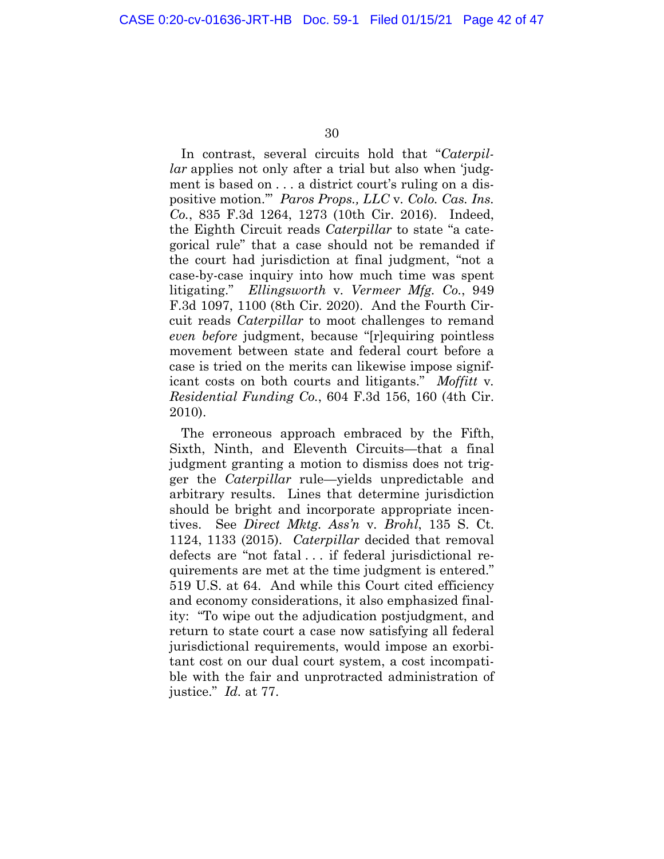In contrast, several circuits hold that "*Caterpillar* applies not only after a trial but also when 'judgment is based on . . . a district court's ruling on a dispositive motion.'" *Paros Props., LLC* v*. Colo. Cas. Ins. Co.*, 835 F.3d 1264, 1273 (10th Cir. 2016). Indeed, the Eighth Circuit reads *Caterpillar* to state "a categorical rule" that a case should not be remanded if the court had jurisdiction at final judgment, "not a case-by-case inquiry into how much time was spent litigating." *Ellingsworth* v*. Vermeer Mfg. Co.*, 949 F.3d 1097, 1100 (8th Cir. 2020). And the Fourth Circuit reads *Caterpillar* to moot challenges to remand *even before* judgment, because "[r]equiring pointless movement between state and federal court before a case is tried on the merits can likewise impose significant costs on both courts and litigants." *Moffitt* v*. Residential Funding Co.*, 604 F.3d 156, 160 (4th Cir. 2010).

The erroneous approach embraced by the Fifth, Sixth, Ninth, and Eleventh Circuits—that a final judgment granting a motion to dismiss does not trigger the *Caterpillar* rule—yields unpredictable and arbitrary results. Lines that determine jurisdiction should be bright and incorporate appropriate incentives. See *Direct Mktg. Ass'n* v*. Brohl*, 135 S. Ct. 1124, 1133 (2015). *Caterpillar* decided that removal defects are "not fatal . . . if federal jurisdictional requirements are met at the time judgment is entered." 519 U.S. at 64. And while this Court cited efficiency and economy considerations, it also emphasized finality: "To wipe out the adjudication postjudgment, and return to state court a case now satisfying all federal jurisdictional requirements, would impose an exorbitant cost on our dual court system, a cost incompatible with the fair and unprotracted administration of justice." *Id.* at 77.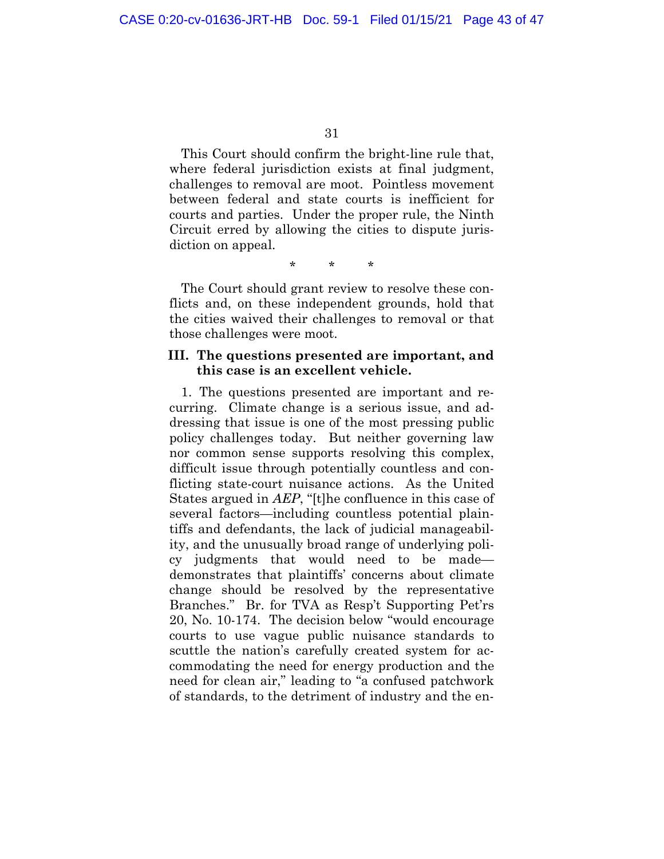<span id="page-41-0"></span>This Court should confirm the bright-line rule that, where federal jurisdiction exists at final judgment, challenges to removal are moot. Pointless movement between federal and state courts is inefficient for courts and parties. Under the proper rule, the Ninth Circuit erred by allowing the cities to dispute jurisdiction on appeal.

\* \* \*

The Court should grant review to resolve these conflicts and, on these independent grounds, hold that the cities waived their challenges to removal or that those challenges were moot.

### **III. The questions presented are important, and this case is an excellent vehicle.**

1. The questions presented are important and recurring. Climate change is a serious issue, and addressing that issue is one of the most pressing public policy challenges today. But neither governing law nor common sense supports resolving this complex, difficult issue through potentially countless and conflicting state-court nuisance actions. As the United States argued in *AEP*, "[t]he confluence in this case of several factors—including countless potential plaintiffs and defendants, the lack of judicial manageability, and the unusually broad range of underlying policy judgments that would need to be made demonstrates that plaintiffs' concerns about climate change should be resolved by the representative Branches." Br. for TVA as Resp't Supporting Pet'rs 20, No. 10-174. The decision below "would encourage courts to use vague public nuisance standards to scuttle the nation's carefully created system for accommodating the need for energy production and the need for clean air," leading to "a confused patchwork of standards, to the detriment of industry and the en-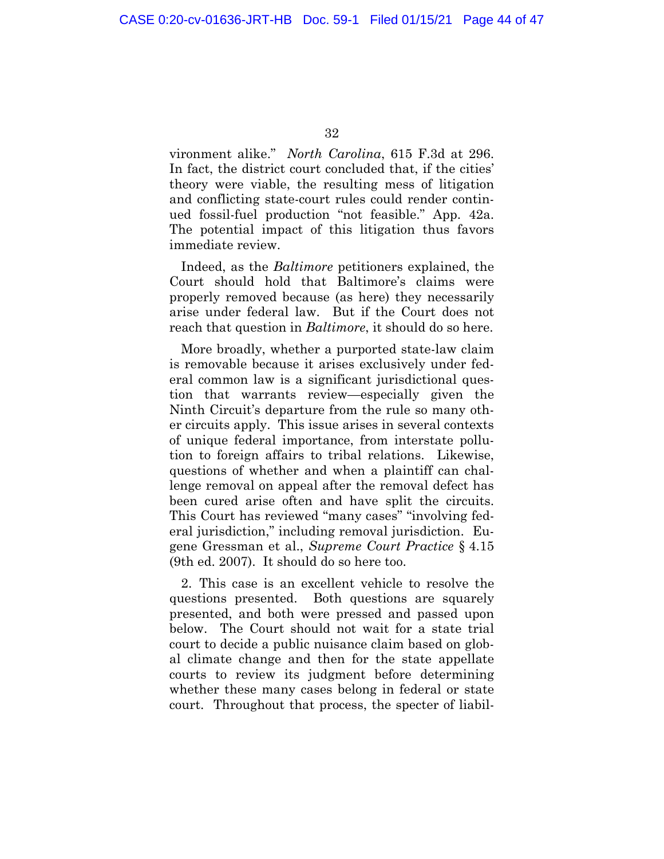vironment alike." *North Carolina*, 615 F.3d at 296. In fact, the district court concluded that, if the cities' theory were viable, the resulting mess of litigation and conflicting state-court rules could render continued fossil-fuel production "not feasible." App. 42a. The potential impact of this litigation thus favors immediate review.

Indeed, as the *Baltimore* petitioners explained, the Court should hold that Baltimore's claims were properly removed because (as here) they necessarily arise under federal law. But if the Court does not reach that question in *Baltimore*, it should do so here.

More broadly, whether a purported state-law claim is removable because it arises exclusively under federal common law is a significant jurisdictional question that warrants review—especially given the Ninth Circuit's departure from the rule so many other circuits apply. This issue arises in several contexts of unique federal importance, from interstate pollution to foreign affairs to tribal relations. Likewise, questions of whether and when a plaintiff can challenge removal on appeal after the removal defect has been cured arise often and have split the circuits. This Court has reviewed "many cases" "involving federal jurisdiction," including removal jurisdiction. Eugene Gressman et al., *Supreme Court Practice* § 4.15 (9th ed. 2007). It should do so here too.

2. This case is an excellent vehicle to resolve the questions presented. Both questions are squarely presented, and both were pressed and passed upon below. The Court should not wait for a state trial court to decide a public nuisance claim based on global climate change and then for the state appellate courts to review its judgment before determining whether these many cases belong in federal or state court. Throughout that process, the specter of liabil-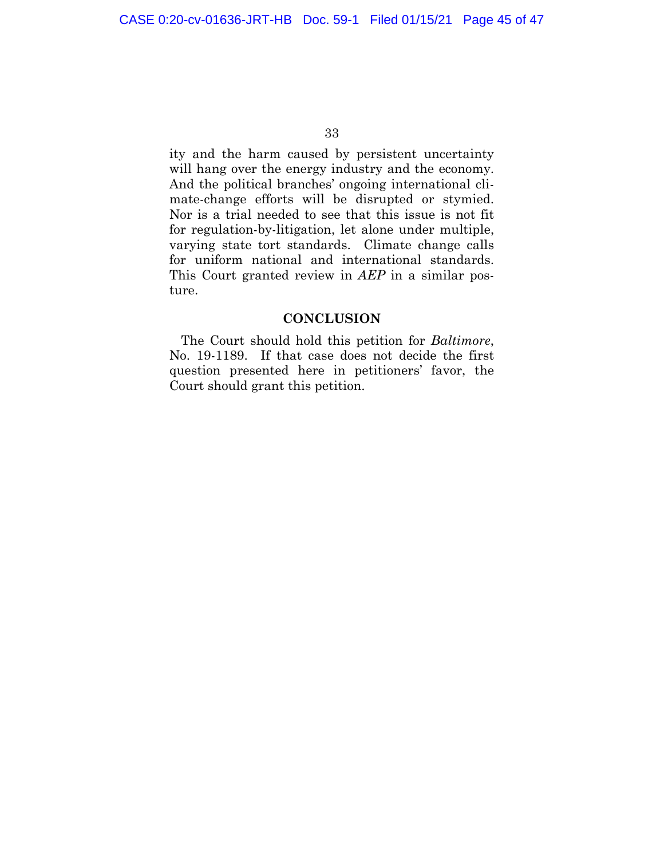<span id="page-43-0"></span>ity and the harm caused by persistent uncertainty will hang over the energy industry and the economy. And the political branches' ongoing international climate-change efforts will be disrupted or stymied. Nor is a trial needed to see that this issue is not fit for regulation-by-litigation, let alone under multiple, varying state tort standards. Climate change calls for uniform national and international standards. This Court granted review in *AEP* in a similar posture.

### **CONCLUSION**

The Court should hold this petition for *Baltimore*, No. 19-1189. If that case does not decide the first question presented here in petitioners' favor, the Court should grant this petition.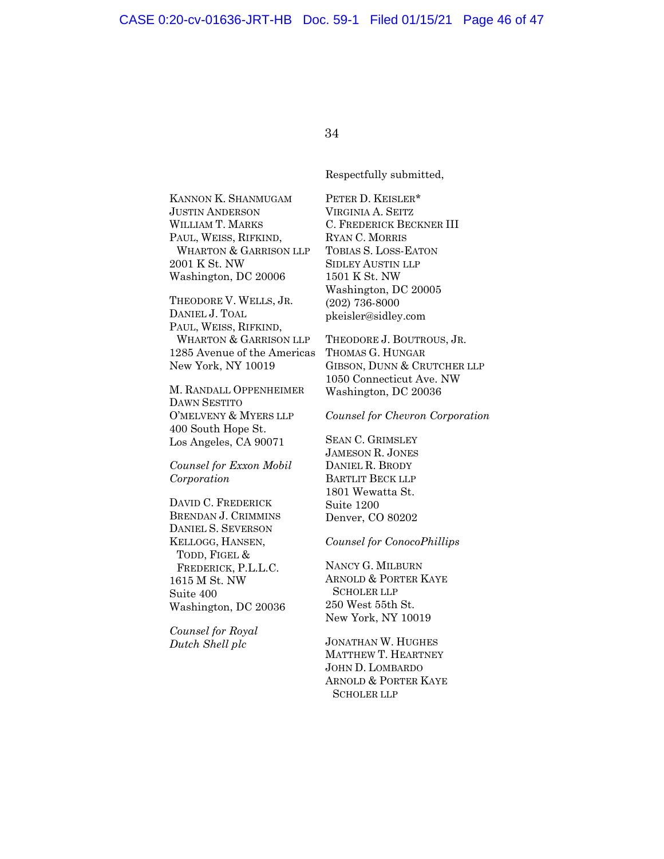Respectfully submitted,

KANNON K. SHANMUGAM JUSTIN ANDERSON WILLIAM T. MARKS PAUL, WEISS, RIFKIND, WHARTON & GARRISON LLP 2001 K St. NW Washington, DC 20006

THEODORE V. WELLS, JR. DANIEL J. TOAL PAUL, WEISS, RIFKIND, WHARTON & GARRISON LLP 1285 Avenue of the Americas New York, NY 10019

M. RANDALL OPPENHEIMER DAWN SESTITO O'MELVENY & MYERS LLP 400 South Hope St. Los Angeles, CA 90071

*Counsel for Exxon Mobil Corporation* 

DAVID C. FREDERICK BRENDAN J. CRIMMINS DANIEL S. SEVERSON KELLOGG, HANSEN, TODD, FIGEL & FREDERICK, P.L.L.C. 1615 M St. NW Suite 400 Washington, DC 20036

*Counsel for Royal Dutch Shell plc*

PETER D. KEISLER\* VIRGINIA A. SEITZ C. FREDERICK BECKNER III RYAN C. MORRIS TOBIAS S. LOSS-EATON SIDLEY AUSTIN LLP 1501 K St. NW Washington, DC 20005 (202) 736-8000 pkeisler@sidley.com

THEODORE J. BOUTROUS, JR. THOMAS G. HUNGAR GIBSON, DUNN & CRUTCHER LLP 1050 Connecticut Ave. NW Washington, DC 20036

*Counsel for Chevron Corporation* 

SEAN C. GRIMSLEY JAMESON R. JONES DANIEL R. BRODY BARTLIT BECK LLP 1801 Wewatta St. Suite 1200 Denver, CO 80202

*Counsel for ConocoPhillips* 

NANCY G. MILBURN ARNOLD & PORTER KAYE SCHOLER LLP 250 West 55th St. New York, NY 10019

JONATHAN W. HUGHES MATTHEW T. HEARTNEY JOHN D. LOMBARDO ARNOLD & PORTER KAYE SCHOLER LLP